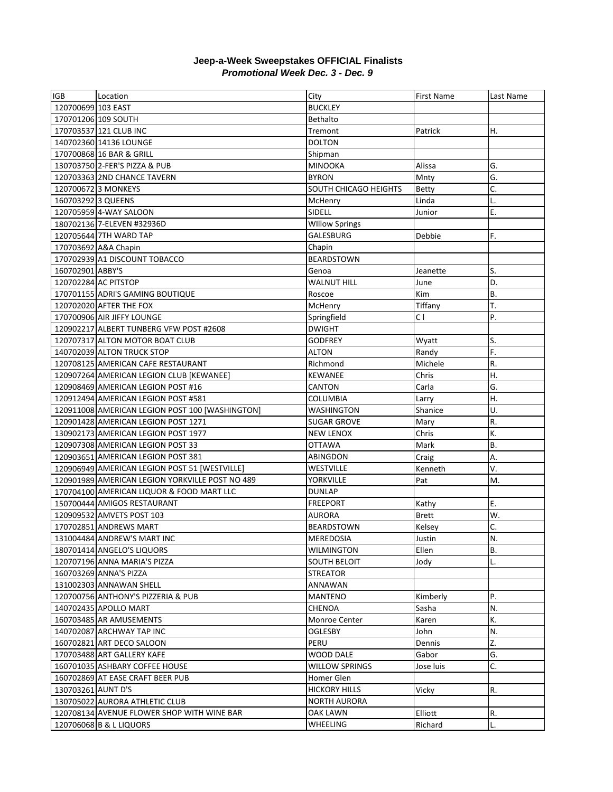## **Jeep-a-Week Sweepstakes OFFICIAL Finalists** *Promotional Week Dec. 3 - Dec. 9*

| IGB                 | Location                                        | City                  | First Name     | Last Name |
|---------------------|-------------------------------------------------|-----------------------|----------------|-----------|
| 120700699 103 EAST  |                                                 | <b>BUCKLEY</b>        |                |           |
| 170701206 109 SOUTH |                                                 | Bethalto              |                |           |
|                     | 170703537 121 CLUB INC                          | Tremont               | Patrick        | Η.        |
|                     | 140702360 14136 LOUNGE                          | <b>DOLTON</b>         |                |           |
|                     | 170700868 16 BAR & GRILL                        | Shipman               |                |           |
|                     | 130703750 2-FER'S PIZZA & PUB                   | <b>MINOOKA</b>        | Alissa         | G.        |
|                     | 120703363 2ND CHANCE TAVERN                     | <b>BYRON</b>          | Mnty           | G.        |
|                     | 120700672 3 MONKEYS                             | SOUTH CHICAGO HEIGHTS | <b>Betty</b>   | C.        |
| 160703292 3 QUEENS  |                                                 | McHenry               | Linda          | L.        |
|                     | 120705959 4-WAY SALOON                          | SIDELL                | Junior         | Ε.        |
|                     | 180702136 7-ELEVEN #32936D                      | <b>WIllow Springs</b> |                |           |
|                     | 120705644 7TH WARD TAP                          | GALESBURG             | Debbie         | F.        |
|                     | 170703692 A&A Chapin                            | Chapin                |                |           |
|                     | 170702939 A1 DISCOUNT TOBACCO                   | <b>BEARDSTOWN</b>     |                |           |
| 160702901 ABBY'S    |                                                 | Genoa                 | Jeanette       | S.        |
|                     | 120702284 AC PITSTOP                            | <b>WALNUT HILL</b>    | June           | D.        |
|                     | 170701155 ADRI'S GAMING BOUTIQUE                | Roscoe                | Kim            | <b>B.</b> |
|                     | 120702020 AFTER THE FOX                         | McHenry               | Tiffany        | T.        |
|                     | 170700906 AIR JIFFY LOUNGE                      | Springfield           | C <sub>1</sub> | P.        |
|                     | 120902217 ALBERT TUNBERG VFW POST #2608         | <b>DWIGHT</b>         |                |           |
|                     | 120707317 ALTON MOTOR BOAT CLUB                 | <b>GODFREY</b>        | Wyatt          | S.        |
|                     | 140702039 ALTON TRUCK STOP                      | <b>ALTON</b>          | Randy          | F.        |
|                     | 120708125 AMERICAN CAFE RESTAURANT              | Richmond              | Michele        | R.        |
|                     | 120907264 AMERICAN LEGION CLUB [KEWANEE]        | <b>KEWANEE</b>        | Chris          | Η.        |
|                     | 120908469 AMERICAN LEGION POST #16              | CANTON                | Carla          | G.        |
|                     | 120912494 AMERICAN LEGION POST #581             | <b>COLUMBIA</b>       | Larry          | Η.        |
|                     | 120911008 AMERICAN LEGION POST 100 [WASHINGTON] | <b>WASHINGTON</b>     | Shanice        | U.        |
|                     | 120901428 AMERICAN LEGION POST 1271             | <b>SUGAR GROVE</b>    | Mary           | R.        |
|                     | 130902173 AMERICAN LEGION POST 1977             | <b>NEW LENOX</b>      | Chris          | K.        |
|                     | 120907308 AMERICAN LEGION POST 33               | <b>OTTAWA</b>         | Mark           | <b>B.</b> |
|                     | 120903651 AMERICAN LEGION POST 381              | ABINGDON              | Craig          | А.        |
|                     | 120906949 AMERICAN LEGION POST 51 [WESTVILLE]   | <b>WESTVILLE</b>      | Kenneth        | V.        |
|                     | 120901989 AMERICAN LEGION YORKVILLE POST NO 489 | YORKVILLE             | Pat            | M.        |
|                     | 170704100 AMERICAN LIQUOR & FOOD MART LLC       | <b>DUNLAP</b>         |                |           |
|                     | 150700444 AMIGOS RESTAURANT                     | <b>FREEPORT</b>       | Kathy          | Ε.        |
|                     | 120909532 AMVETS POST 103                       | <b>AURORA</b>         | <b>Brett</b>   | W.        |
|                     | 170702851 ANDREWS MART                          | <b>BEARDSTOWN</b>     | Kelsey         | C.        |
|                     | 131004484 ANDREW'S MART INC                     | MEREDOSIA             | Justin         | N.        |
|                     | 180701414 ANGELO'S LIQUORS                      | <b>WILMINGTON</b>     | Ellen          | <b>B.</b> |
|                     | 120707196 ANNA MARIA'S PIZZA                    | SOUTH BELOIT          | Jody           | L.        |
|                     | 160703269 ANNA'S PIZZA                          | STREATOR              |                |           |
|                     | 131002303 ANNAWAN SHELL                         | ANNAWAN               |                |           |
|                     | 120700756 ANTHONY'S PIZZERIA & PUB              | MANTENO               | Kimberly       | Ρ.        |
|                     | 140702435 APOLLO MART                           | CHENOA                | Sasha          | N.        |
|                     | 160703485 AR AMUSEMENTS                         | Monroe Center         | Karen          | К.        |
|                     | 140702087 ARCHWAY TAP INC                       | OGLESBY               | John           | N.        |
|                     | 160702821 ART DECO SALOON                       | PERU                  | Dennis         | Z.        |
|                     | 170703488 ART GALLERY KAFE                      | WOOD DALE             | Gabor          | G.        |
|                     | 160701035 ASHBARY COFFEE HOUSE                  | <b>WILLOW SPRINGS</b> | Jose luis      | C.        |
|                     | 160702869 AT EASE CRAFT BEER PUB                | Homer Glen            |                |           |
| 130703261 AUNT D'S  |                                                 | <b>HICKORY HILLS</b>  | Vicky          | R.        |
|                     | 130705022 AURORA ATHLETIC CLUB                  | <b>NORTH AURORA</b>   |                |           |
|                     | 120708134 AVENUE FLOWER SHOP WITH WINE BAR      | OAK LAWN              | Elliott        | R.        |
|                     | 120706068 B & L LIQUORS                         | WHEELING              | Richard        | L.        |
|                     |                                                 |                       |                |           |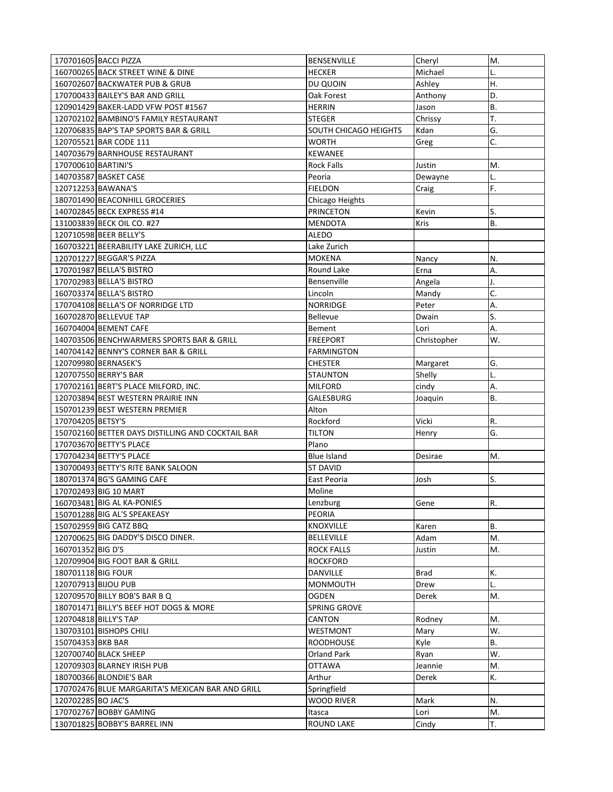|                     | 170701605 BACCI PIZZA                             | <b>BENSENVILLE</b>    | Cheryl      | M.            |
|---------------------|---------------------------------------------------|-----------------------|-------------|---------------|
|                     | 160700265 BACK STREET WINE & DINE                 | <b>HECKER</b>         | Michael     |               |
|                     | 160702607 BACKWATER PUB & GRUB                    | DU QUOIN              | Ashley      | Η.            |
|                     | 170700433 BAILEY'S BAR AND GRILL                  | Oak Forest            | Anthony     | D.            |
|                     | 120901429 BAKER-LADD VFW POST #1567               | <b>HERRIN</b>         | Jason       | <b>B.</b>     |
|                     | 120702102 BAMBINO'S FAMILY RESTAURANT             | <b>STEGER</b>         | Chrissy     | T.            |
|                     | 120706835 BAP'S TAP SPORTS BAR & GRILL            | SOUTH CHICAGO HEIGHTS | Kdan        | G.            |
|                     | 120705521 BAR CODE 111                            | <b>WORTH</b>          | Greg        | C.            |
|                     | 140703679 BARNHOUSE RESTAURANT                    | <b>KEWANEE</b>        |             |               |
| 170700610 BARTINI'S |                                                   | <b>Rock Falls</b>     | Justin      | M.            |
|                     | 140703587 BASKET CASE                             | Peoria                | Dewayne     | L.            |
|                     | 120712253 BAWANA'S                                | <b>FIELDON</b>        | Craig       | F.            |
|                     | 180701490 BEACONHILL GROCERIES                    | Chicago Heights       |             |               |
|                     | 140702845 BECK EXPRESS #14                        | <b>PRINCETON</b>      | Kevin       | S.            |
|                     | 131003839 BECK OIL CO. #27                        | MENDOTA               | Kris        | <b>B.</b>     |
|                     | 120710598 BEER BELLY'S                            | ALEDO                 |             |               |
|                     | 160703221 BEERABILITY LAKE ZURICH, LLC            | Lake Zurich           |             |               |
|                     | 120701227 BEGGAR'S PIZZA                          | <b>MOKENA</b>         | Nancy       | N.            |
|                     | 170701987 BELLA'S BISTRO                          | Round Lake            | Erna        | А.            |
|                     | 170702983 BELLA'S BISTRO                          | Bensenville           | Angela      | J.            |
|                     | 160703374 BELLA'S BISTRO                          | Lincoln               | Mandy       | C.            |
|                     | 170704108 BELLA'S OF NORRIDGE LTD                 | <b>NORRIDGE</b>       | Peter       | Α.            |
|                     | 160702870 BELLEVUE TAP                            | <b>Bellevue</b>       | Dwain       | S.            |
|                     | 160704004 BEMENT CAFE                             | Bement                | Lori        | А.            |
|                     | 140703506 BENCHWARMERS SPORTS BAR & GRILL         | <b>FREEPORT</b>       | Christopher | W.            |
|                     | 140704142 BENNY'S CORNER BAR & GRILL              | <b>FARMINGTON</b>     |             |               |
|                     | 120709980 BERNASEK'S                              | <b>CHESTER</b>        | Margaret    | G.            |
|                     | 120707550 BERRY'S BAR                             | <b>STAUNTON</b>       | Shelly      | L.            |
|                     | 170702161 BERT'S PLACE MILFORD, INC.              | <b>MILFORD</b>        | cindy       | А.            |
|                     |                                                   |                       |             |               |
|                     | 120703894 BEST WESTERN PRAIRIE INN                | GALESBURG             | Joaquin     | <b>B.</b>     |
|                     | 150701239 BEST WESTERN PREMIER                    | Alton                 |             |               |
| 170704205 BETSY'S   |                                                   | Rockford              | Vicki       | R.            |
|                     | 150702160 BETTER DAYS DISTILLING AND COCKTAIL BAR | tilton                | Henry       | G.            |
|                     | 170703670 BETTY'S PLACE                           | Plano                 |             |               |
|                     | 170704234 BETTY'S PLACE                           | <b>Blue Island</b>    | Desirae     | М.            |
|                     | 130700493 BETTY'S RITE BANK SALOON                | <b>ST DAVID</b>       |             |               |
|                     | 180701374 BG'S GAMING CAFE                        | East Peoria           | Josh        | S.            |
|                     | 170702493 BIG 10 MART                             | Moline                |             |               |
|                     | 160703481 BIG AL KA-PONIES                        | Lenzburg              | Gene        |               |
|                     | 150701288 BIG AL'S SPEAKEASY                      | PEORIA                |             | $\mathsf{R}.$ |
|                     | 150702959 BIG CATZ BBQ                            | <b>KNOXVILLE</b>      | Karen       | В.            |
|                     | 120700625 BIG DADDY'S DISCO DINER.                | <b>BELLEVILLE</b>     | Adam        | M.            |
| 160701352 BIG D'S   |                                                   | <b>ROCK FALLS</b>     | Justin      | M.            |
|                     | 120709904 BIG FOOT BAR & GRILL                    | <b>ROCKFORD</b>       |             |               |
| 180701118 BIG FOUR  |                                                   | DANVILLE              | Brad        | К.            |
|                     | 120707913 BIJOU PUB                               | MONMOUTH              | Drew        | L.            |
|                     | 120709570 BILLY BOB'S BAR B Q                     | <b>OGDEN</b>          | Derek       | M.            |
|                     | 180701471 BILLY'S BEEF HOT DOGS & MORE            | SPRING GROVE          |             |               |
|                     | 120704818 BILLY'S TAP                             | CANTON                | Rodney      | М.            |
|                     | 130703101 BISHOPS CHILI                           | WESTMONT              | Mary        | W.            |
| 150704353 BKB BAR   |                                                   | <b>ROODHOUSE</b>      | Kyle        | <b>B.</b>     |
|                     | 120700740 BLACK SHEEP                             | Orland Park           | Ryan        | W.            |
|                     | 120709303 BLARNEY IRISH PUB                       | <b>OTTAWA</b>         | Jeannie     | M.            |
|                     | 180700366 BLONDIE'S BAR                           | Arthur                | Derek       | К.            |
|                     | 170702476 BLUE MARGARITA'S MEXICAN BAR AND GRILL  | Springfield           |             |               |
| 120702285 BO JAC'S  |                                                   | WOOD RIVER            | Mark        | N.            |
|                     | 170702767 BOBBY GAMING                            | Itasca                | Lori        | M.            |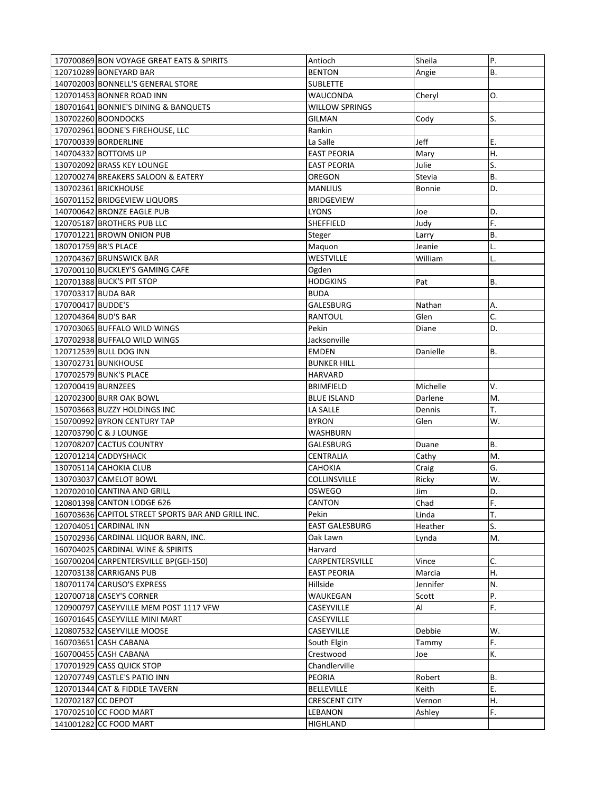|                        | 170700869 BON VOYAGE GREAT EATS & SPIRITS          | Antioch               | Sheila        | Ρ.        |
|------------------------|----------------------------------------------------|-----------------------|---------------|-----------|
|                        | 120710289 BONEYARD BAR                             | <b>BENTON</b>         | Angie         | В.        |
|                        | 140702003 BONNELL'S GENERAL STORE                  | <b>SUBLETTE</b>       |               |           |
|                        | 120701453 BONNER ROAD INN                          | WAUCONDA              | Cheryl        | О.        |
|                        | 180701641 BONNIE'S DINING & BANQUETS               | <b>WILLOW SPRINGS</b> |               |           |
| 130702260 BOONDOCKS    |                                                    | <b>GILMAN</b>         | Cody          | S.        |
|                        | 170702961 BOONE'S FIREHOUSE, LLC                   | Rankin                |               |           |
| 170700339 BORDERLINE   |                                                    | La Salle              | Jeff          | Е.        |
| 140704332 BOTTOMS UP   |                                                    | <b>EAST PEORIA</b>    |               | Η.        |
|                        |                                                    |                       | Mary          |           |
|                        | 130702092 BRASS KEY LOUNGE                         | <b>EAST PEORIA</b>    | Julie         | S.        |
|                        | 120700274 BREAKERS SALOON & EATERY                 | OREGON                | Stevia        | В.        |
| 130702361 BRICKHOUSE   |                                                    | <b>MANLIUS</b>        | <b>Bonnie</b> | D.        |
|                        | 160701152 BRIDGEVIEW LIQUORS                       | <b>BRIDGEVIEW</b>     |               |           |
|                        | 140700642 BRONZE EAGLE PUB                         | <b>LYONS</b>          | Joe           | D.        |
|                        | 120705187 BROTHERS PUB LLC                         | SHEFFIELD             | Judy          | F.        |
|                        | 170701221 BROWN ONION PUB                          | Steger                | Larry         | <b>B.</b> |
| 180701759 BR'S PLACE   |                                                    | Maquon                | Jeanie        | L.        |
|                        | 120704367 BRUNSWICK BAR                            | WESTVILLE             | William       | L.        |
|                        | 170700110 BUCKLEY'S GAMING CAFE                    | Ogden                 |               |           |
|                        | 120701388 BUCK'S PIT STOP                          | <b>HODGKINS</b>       | Pat           | В.        |
| 170703317 BUDA BAR     |                                                    | <b>BUDA</b>           |               |           |
| 170700417 BUDDE'S      |                                                    | <b>GALESBURG</b>      | Nathan        | А.        |
| 120704364 BUD'S BAR    |                                                    | <b>RANTOUL</b>        | Glen          | C.        |
|                        | 170703065 BUFFALO WILD WINGS                       | Pekin                 | Diane         | D.        |
|                        | 170702938 BUFFALO WILD WINGS                       |                       |               |           |
|                        |                                                    | Jacksonville          |               |           |
| 120712539 BULL DOG INN |                                                    | <b>EMDEN</b>          | Danielle      | В.        |
| 130702731 BUNKHOUSE    |                                                    | <b>BUNKER HILL</b>    |               |           |
| 170702579 BUNK'S PLACE |                                                    | HARVARD               |               |           |
| 120700419 BURNZEES     |                                                    | <b>BRIMFIELD</b>      | Michelle      | V.        |
|                        | 120702300 BURR OAK BOWL                            | <b>BLUE ISLAND</b>    | Darlene       | M.        |
|                        | 150703663 BUZZY HOLDINGS INC                       | LA SALLE              | Dennis        | Т.        |
|                        | 150700992 BYRON CENTURY TAP                        | <b>BYRON</b>          | Glen          | W.        |
| 120703790 C & J LOUNGE |                                                    | WASHBURN              |               |           |
|                        | 120708207 CACTUS COUNTRY                           | GALESBURG             | Duane         | В.        |
| 120701214 CADDYSHACK   |                                                    | CENTRALIA             | Cathy         | М.        |
| 130705114 CAHOKIA CLUB |                                                    | CAHOKIA               | Craig         | G.        |
|                        | 130703037 CAMELOT BOWL                             | <b>COLLINSVILLE</b>   | Ricky         | W.        |
|                        | 120702010 CANTINA AND GRILL                        | <b>OSWEGO</b>         | Jim           | D.        |
|                        |                                                    |                       |               |           |
|                        | 120801398 CANTON LODGE 626                         | CANTON                | Chad          | F.        |
|                        | 160703636 CAPITOL STREET SPORTS BAR AND GRILL INC. | Pekin                 | Linda         | Т.        |
| 120704051 CARDINAL INN |                                                    | <b>EAST GALESBURG</b> | Heather       | S.        |
|                        | 150702936 CARDINAL LIQUOR BARN, INC.               | Oak Lawn              | Lynda         | M.        |
|                        | 160704025 CARDINAL WINE & SPIRITS                  | Harvard               |               |           |
|                        | 160700204 CARPENTERSVILLE BP(GEI-150)              | CARPENTERSVILLE       | Vince         | C.        |
|                        | 120703138 CARRIGANS PUB                            | <b>EAST PEORIA</b>    | Marcia        | Η.        |
|                        | 180701174 CARUSO'S EXPRESS                         | Hillside              | Jennifer      | N.        |
|                        | 120700718 CASEY'S CORNER                           | WAUKEGAN              | Scott         | Ρ.        |
|                        | 120900797 CASEYVILLE MEM POST 1117 VFW             | CASEYVILLE            | Al            | F.        |
|                        | 160701645 CASEYVILLE MINI MART                     | CASEYVILLE            |               |           |
|                        | 120807532 CASEYVILLE MOOSE                         | CASEYVILLE            | Debbie        | W.        |
| 160703651 CASH CABANA  |                                                    | South Elgin           | Tammy         | F.        |
| 160700455 CASH CABANA  |                                                    | Crestwood             |               | К.        |
|                        |                                                    |                       | Joe           |           |
|                        | 170701929 CASS QUICK STOP                          | Chandlerville         |               |           |
|                        | 120707749 CASTLE'S PATIO INN                       | PEORIA                | Robert        | В.        |
|                        | 120701344 CAT & FIDDLE TAVERN                      | <b>BELLEVILLE</b>     | Keith         | Ε.        |
| 120702187 CC DEPOT     |                                                    | <b>CRESCENT CITY</b>  | Vernon        | Η.        |
|                        | 170702510 CC FOOD MART                             | LEBANON               | Ashley        | F.        |
|                        | 141001282 CC FOOD MART                             | HIGHLAND              |               |           |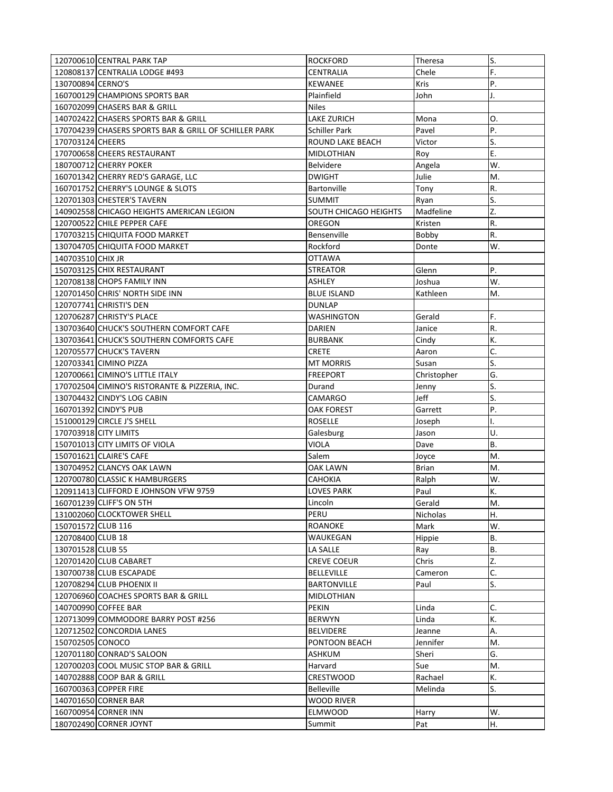|                       | 120700610 CENTRAL PARK TAP                            | <b>ROCKFORD</b>                         | Theresa          | S.        |
|-----------------------|-------------------------------------------------------|-----------------------------------------|------------------|-----------|
|                       | 120808137 CENTRALIA LODGE #493                        | CENTRALIA                               | Chele            | F.        |
| 130700894 CERNO'S     |                                                       | <b>KEWANEE</b>                          | Kris             | P.        |
|                       | 160700129 CHAMPIONS SPORTS BAR                        | Plainfield                              | John             | J.        |
|                       | 160702099 CHASERS BAR & GRILL                         | <b>Niles</b>                            |                  |           |
|                       | 140702422 CHASERS SPORTS BAR & GRILL                  | <b>LAKE ZURICH</b>                      | Mona             | 0.        |
|                       | 170704239 CHASERS SPORTS BAR & GRILL OF SCHILLER PARK | <b>Schiller Park</b>                    | Pavel            | P.        |
| 170703124 CHEERS      |                                                       | ROUND LAKE BEACH                        | Victor           | S.        |
|                       | 170700658 CHEERS RESTAURANT                           | <b>MIDLOTHIAN</b>                       | Roy              | Ε.        |
|                       | 180700712 CHERRY POKER                                | <b>Belvidere</b>                        | Angela           | W.        |
|                       | 160701342 CHERRY RED'S GARAGE, LLC                    | <b>DWIGHT</b>                           | Julie            | M.        |
|                       | 160701752 CHERRY'S LOUNGE & SLOTS                     | <b>Bartonville</b>                      | Tony             | R.        |
|                       | 120701303 CHESTER'S TAVERN                            | <b>SUMMIT</b>                           | Ryan             | S.        |
|                       | 140902558 CHICAGO HEIGHTS AMERICAN LEGION             | SOUTH CHICAGO HEIGHTS                   | Madfeline        | Z.        |
|                       | 120700522 CHILE PEPPER CAFE                           | OREGON                                  | Kristen          | R.        |
|                       | 170703215 CHIQUITA FOOD MARKET                        | Bensenville                             | Bobby            | R.        |
|                       | 130704705 CHIQUITA FOOD MARKET                        | Rockford                                | Donte            | W.        |
| 140703510 CHIX JR     |                                                       | <b>OTTAWA</b>                           |                  |           |
|                       | 150703125 CHIX RESTAURANT                             | STREATOR                                | Glenn            | Ρ.        |
|                       | 120708138 CHOPS FAMILY INN                            | <b>ASHLEY</b>                           | Joshua           | W.        |
|                       | 120701450 CHRIS' NORTH SIDE INN                       | <b>BLUE ISLAND</b>                      | Kathleen         | M.        |
|                       | 120707741 CHRISTI'S DEN                               | <b>DUNLAP</b>                           |                  |           |
|                       | 120706287 CHRISTY'S PLACE                             | WASHINGTON                              | Gerald           | F.        |
|                       | 130703640 CHUCK'S SOUTHERN COMFORT CAFE               | <b>DARIEN</b>                           | Janice           | R.        |
|                       | 130703641 CHUCK'S SOUTHERN COMFORTS CAFE              | <b>BURBANK</b>                          | Cindy            | К.        |
|                       | 120705577 CHUCK'S TAVERN                              | <b>CRETE</b>                            | Aaron            | C.        |
|                       | 120703341 CIMINO PIZZA                                | <b>MT MORRIS</b>                        | Susan            | S.        |
|                       | 120700661 CIMINO'S LITTLE ITALY                       | <b>FREEPORT</b>                         | Christopher      | G.        |
|                       | 170702504 CIMINO'S RISTORANTE & PIZZERIA, INC.        | Durand                                  | Jenny            | S.        |
|                       | 130704432 CINDY'S LOG CABIN                           | CAMARGO                                 | Jeff             | S.        |
|                       | 160701392 CINDY'S PUB                                 | OAK FOREST                              | Garrett          | P.        |
|                       | 151000129 CIRCLE J'S SHELL                            | <b>ROSELLE</b>                          | Joseph           | ı.        |
| 170703918 CITY LIMITS |                                                       | Galesburg                               | Jason            | U.        |
|                       | 150701013 CITY LIMITS OF VIOLA                        | <b>VIOLA</b>                            | Dave             | <b>B.</b> |
|                       | 150701621 CLAIRE'S CAFE                               | Salem                                   | Joyce            | M.        |
|                       | 130704952 CLANCYS OAK LAWN                            | OAK LAWN                                | <b>Brian</b>     | M.        |
|                       | 120700780 CLASSIC K HAMBURGERS                        | <b>CAHOKIA</b>                          | Ralph            | W.        |
|                       | 120911413 CLIFFORD E JOHNSON VFW 9759                 | <b>LOVES PARK</b>                       | Paul             | К.        |
|                       | 160701239 CLIFF'S ON 5TH                              | Lincoln                                 | Gerald           | M.        |
|                       | 131002060 CLOCKTOWER SHELL                            | PERU                                    |                  | Η.        |
| 150701572 CLUB 116    |                                                       | ROANOKE                                 | Nicholas<br>Mark | W.        |
| 120708400 CLUB 18     |                                                       | WAUKEGAN                                |                  | <b>B.</b> |
| 130701528 CLUB 55     |                                                       | LA SALLE                                | Hippie<br>Ray    | <b>B.</b> |
|                       |                                                       |                                         |                  | Z.        |
|                       | 120701420 CLUB CABARET<br>130700738 CLUB ESCAPADE     | <b>CREVE COEUR</b><br><b>BELLEVILLE</b> | Chris            | C.        |
|                       |                                                       |                                         | Cameron          | S.        |
|                       | 120708294 CLUB PHOENIX II                             | <b>BARTONVILLE</b>                      | Paul             |           |
|                       | 120706960 COACHES SPORTS BAR & GRILL                  | MIDLOTHIAN                              |                  |           |
|                       | 140700990 COFFEE BAR                                  | PEKIN                                   | Linda            | C.        |
|                       | 120713099 COMMODORE BARRY POST #256                   | <b>BERWYN</b>                           | Linda            | К.        |
|                       | 120712502 CONCORDIA LANES                             | <b>BELVIDERE</b>                        | Jeanne           | А.        |
| 150702505 CONOCO      |                                                       | PONTOON BEACH                           | Jennifer         | M.        |
|                       | 120701180 CONRAD'S SALOON                             | ASHKUM                                  | Sheri            | G.        |
|                       | 120700203 COOL MUSIC STOP BAR & GRILL                 | Harvard                                 | Sue              | M.        |
|                       | 140702888 COOP BAR & GRILL                            | CRESTWOOD                               | Rachael          | К.        |
|                       | 160700363 COPPER FIRE                                 | <b>Belleville</b>                       | Melinda          | S.        |
|                       | 140701650 CORNER BAR                                  | <b>WOOD RIVER</b>                       |                  |           |
|                       | 160700954 CORNER INN                                  | <b>ELMWOOD</b>                          | Harry            | W.        |
|                       | 180702490 CORNER JOYNT                                | Summit                                  | Pat              | Η.        |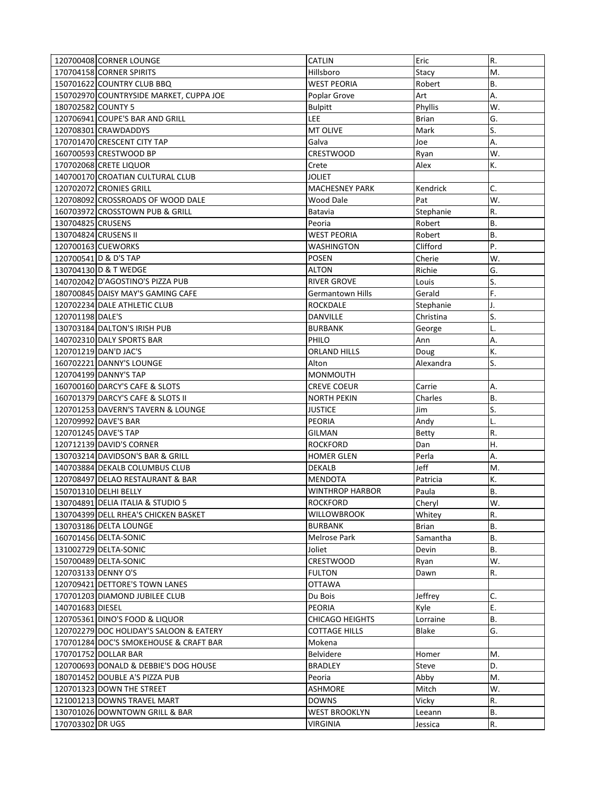|                     | 120700408 CORNER LOUNGE                 | CATLIN                  | Eric         | R.        |
|---------------------|-----------------------------------------|-------------------------|--------------|-----------|
|                     | 170704158 CORNER SPIRITS                | Hillsboro               | Stacy        | M.        |
|                     | 150701622 COUNTRY CLUB BBQ              | <b>WEST PEORIA</b>      | Robert       | <b>B.</b> |
|                     | 150702970 COUNTRYSIDE MARKET, CUPPA JOE | Poplar Grove            | Art          | А.        |
| 180702582 COUNTY 5  |                                         | <b>Bulpitt</b>          | Phyllis      | W.        |
|                     | 120706941 COUPE'S BAR AND GRILL         | LEE                     | <b>Brian</b> | G.        |
|                     | 120708301 CRAWDADDYS                    | MT OLIVE                | Mark         | S.        |
|                     | 170701470 CRESCENT CITY TAP             | Galva                   | Joe          | Α.        |
|                     | 160700593 CRESTWOOD BP                  | <b>CRESTWOOD</b>        | Ryan         | W.        |
|                     | 170702068 CRETE LIQUOR                  | Crete                   | Alex         | К.        |
|                     | 140700170 CROATIAN CULTURAL CLUB        | JOLIET                  |              |           |
|                     | 120702072 CRONIES GRILL                 | <b>MACHESNEY PARK</b>   | Kendrick     | C.        |
|                     | 120708092 CROSSROADS OF WOOD DALE       | Wood Dale               | Pat          | W.        |
|                     | 160703972 CROSSTOWN PUB & GRILL         | Batavia                 | Stephanie    | R.        |
| 130704825 CRUSENS   |                                         | Peoria                  | Robert       | <b>B.</b> |
|                     | 130704824 CRUSENS II                    | WEST PEORIA             | Robert       | <b>B.</b> |
|                     | 120700163 CUEWORKS                      | WASHINGTON              | Clifford     | P.        |
|                     | 120700541 D & D'S TAP                   | <b>POSEN</b>            | Cherie       | W.        |
|                     | 130704130 D & T WEDGE                   | ALTON                   | Richie       | G.        |
|                     | 140702042 D'AGOSTINO'S PIZZA PUB        | <b>RIVER GROVE</b>      | Louis        | S.        |
|                     | 180700845 DAISY MAY'S GAMING CAFE       | <b>Germantown Hills</b> | Gerald       | F.        |
|                     | 120702234 DALE ATHLETIC CLUB            | <b>ROCKDALE</b>         | Stephanie    | J.        |
| 120701198 DALE'S    |                                         | <b>DANVILLE</b>         | Christina    | S.        |
|                     | 130703184 DALTON'S IRISH PUB            | <b>BURBANK</b>          | George       | L.        |
|                     | 140702310 DALY SPORTS BAR               | PHILO                   | Ann          | Α.        |
|                     | 120701219 DAN'D JAC'S                   | ORLAND HILLS            | Doug         | К.        |
|                     | 160702221 DANNY'S LOUNGE                | Alton                   | Alexandra    | S.        |
|                     | 120704199 DANNY'S TAP                   | <b>MONMOUTH</b>         |              |           |
|                     | 160700160 DARCY'S CAFE & SLOTS          | CREVE COEUR             | Carrie       | А.        |
|                     | 160701379 DARCY'S CAFE & SLOTS II       | <b>NORTH PEKIN</b>      | Charles      | <b>B.</b> |
|                     | 120701253 DAVERN'S TAVERN & LOUNGE      | <b>JUSTICE</b>          | Jim          | S.        |
|                     | 120709992 DAVE'S BAR                    | <b>PEORIA</b>           | Andy         | L.        |
|                     | 120701245 DAVE'S TAP                    | GILMAN                  | Betty        | R.        |
|                     | 120712139 DAVID'S CORNER                | <b>ROCKFORD</b>         | Dan          | Η.        |
|                     | 130703214 DAVIDSON'S BAR & GRILL        | <b>HOMER GLEN</b>       | Perla        | А.        |
|                     | 140703884 DEKALB COLUMBUS CLUB          | <b>DEKALB</b>           | Jeff         | M.        |
|                     | 120708497 DELAO RESTAURANT & BAR        | <b>MENDOTA</b>          | Patricia     | K.        |
|                     | 150701310 DELHI BELLY                   | <b>WINTHROP HARBOR</b>  | Paula        | В.        |
|                     | 130704891 DELIA ITALIA & STUDIO 5       | ROCKFORD                | Cheryl       | W.        |
|                     | 130704399 DELL RHEA'S CHICKEN BASKET    | WILLOWBROOK             | Whitey       | R.        |
|                     | 130703186 DELTA LOUNGE                  | <b>BURBANK</b>          | Brian        | <b>B.</b> |
|                     | 160701456 DELTA-SONIC                   | Melrose Park            | Samantha     | <b>B.</b> |
|                     | 131002729 DELTA-SONIC                   | Joliet                  | Devin        | <b>B.</b> |
|                     | 150700489 DELTA-SONIC                   | <b>CRESTWOOD</b>        | Ryan         | W.        |
| 120703133 DENNY O'S |                                         | <b>FULTON</b>           | Dawn         | R.        |
|                     | 120709421 DETTORE'S TOWN LANES          | OTTAWA                  |              |           |
|                     | 170701203 DIAMOND JUBILEE CLUB          | Du Bois                 | Jeffrey      | C.        |
| 140701683 DIESEL    |                                         | PEORIA                  | Kyle         | E.        |
|                     | 120705361 DINO'S FOOD & LIQUOR          | <b>CHICAGO HEIGHTS</b>  | Lorraine     | В.        |
|                     | 120702279 DOC HOLIDAY'S SALOON & EATERY | <b>COTTAGE HILLS</b>    | Blake        | G.        |
|                     | 170701284 DOC'S SMOKEHOUSE & CRAFT BAR  | Mokena                  |              |           |
|                     | 170701752 DOLLAR BAR                    | <b>Belvidere</b>        | Homer        | M.        |
|                     | 120700693 DONALD & DEBBIE'S DOG HOUSE   | <b>BRADLEY</b>          | Steve        | D.        |
|                     | 180701452 DOUBLE A'S PIZZA PUB          | Peoria                  | Abby         | M.        |
|                     | 120701323 DOWN THE STREET               | <b>ASHMORE</b>          | Mitch        | W.        |
|                     | 121001213 DOWNS TRAVEL MART             | <b>DOWNS</b>            | Vicky        | R.        |
|                     | 130701026 DOWNTOWN GRILL & BAR          | <b>WEST BROOKLYN</b>    | Leeann       | В.        |
| 170703302 DR UGS    |                                         | <b>VIRGINIA</b>         | Jessica      | R.        |
|                     |                                         |                         |              |           |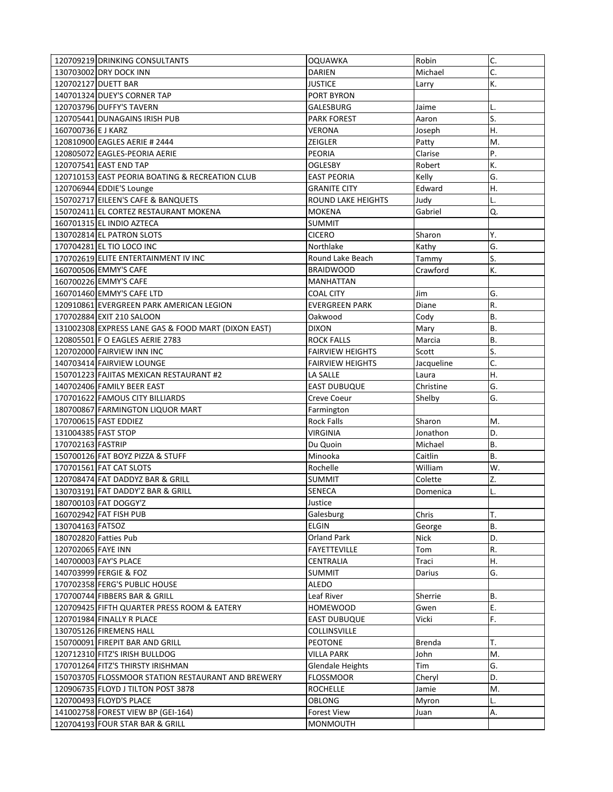|                     | 120709219 DRINKING CONSULTANTS                                        | OQUAWKA                        | Robin          | C.                     |
|---------------------|-----------------------------------------------------------------------|--------------------------------|----------------|------------------------|
|                     | 130703002 DRY DOCK INN                                                | DARIEN                         | Michael        | C.                     |
|                     | 120702127 DUETT BAR                                                   | <b>JUSTICE</b>                 | Larry          | K.                     |
|                     | 140701324 DUEY'S CORNER TAP                                           | PORT BYRON                     |                |                        |
|                     | 120703796 DUFFY'S TAVERN                                              | GALESBURG                      | Jaime          | L.                     |
|                     | 120705441 DUNAGAINS IRISH PUB                                         | <b>PARK FOREST</b>             | Aaron          | S.                     |
| 160700736 E J KARZ  |                                                                       | VERONA                         | Joseph         | Η.                     |
|                     | 120810900 EAGLES AERIE # 2444                                         | ZEIGLER                        | Patty          | M.                     |
|                     | 120805072 EAGLES-PEORIA AERIE                                         | PEORIA                         | Clarise        | P.                     |
|                     | 120707541 EAST END TAP                                                | <b>OGLESBY</b>                 | Robert         | K.                     |
|                     | 120710153 EAST PEORIA BOATING & RECREATION CLUB                       | <b>EAST PEORIA</b>             | Kelly          | G.                     |
|                     | 120706944 EDDIE'S Lounge                                              | <b>GRANITE CITY</b>            | Edward         | Η.                     |
|                     | 150702717 EILEEN'S CAFE & BANQUETS                                    | <b>ROUND LAKE HEIGHTS</b>      | Judy           | L.                     |
|                     | 150702411 EL CORTEZ RESTAURANT MOKENA                                 | <b>MOKENA</b>                  | Gabriel        | Q.                     |
|                     | 160701315 EL INDIO AZTECA                                             | <b>SUMMIT</b>                  |                |                        |
|                     | 130702814 EL PATRON SLOTS                                             | <b>CICERO</b>                  | Sharon         | Υ.                     |
|                     | 170704281 EL TIO LOCO INC                                             | Northlake                      | Kathy          | G.                     |
|                     | 170702619 ELITE ENTERTAINMENT IV INC                                  | Round Lake Beach               | Tammy          | S.                     |
|                     | 160700506 EMMY'S CAFE                                                 | <b>BRAIDWOOD</b>               | Crawford       | K.                     |
|                     | 160700226 EMMY'S CAFE                                                 | <b>MANHATTAN</b>               |                |                        |
|                     | 160701460 EMMY'S CAFE LTD                                             | <b>COAL CITY</b>               | Jim            | G.                     |
|                     | 120910861 EVERGREEN PARK AMERICAN LEGION                              | <b>EVERGREEN PARK</b>          | Diane          | R.                     |
|                     | 170702884 EXIT 210 SALOON                                             | Oakwood                        | Cody           | В.                     |
|                     | 131002308 EXPRESS LANE GAS & FOOD MART (DIXON EAST)                   | <b>DIXON</b>                   | Mary           | <b>B.</b>              |
|                     | 120805501 F O EAGLES AERIE 2783                                       | <b>ROCK FALLS</b>              | Marcia         | <b>B.</b>              |
|                     | 120702000 FAIRVIEW INN INC                                            | <b>FAIRVIEW HEIGHTS</b>        | Scott          | S.                     |
|                     | 140703414 FAIRVIEW LOUNGE                                             | <b>FAIRVIEW HEIGHTS</b>        | Jacqueline     | C.                     |
|                     | 150701223 FAJITAS MEXICAN RESTAURANT #2                               | LA SALLE                       | Laura          | Η.                     |
|                     | 140702406 FAMILY BEER EAST                                            | <b>EAST DUBUQUE</b>            | Christine      | G.                     |
|                     |                                                                       |                                |                |                        |
|                     |                                                                       |                                |                |                        |
|                     | 170701622 FAMOUS CITY BILLIARDS                                       | Creve Coeur                    | Shelby         | G.                     |
|                     | 180700867 FARMINGTON LIQUOR MART                                      | Farmington                     |                | М.                     |
|                     | 170700615 FAST EDDIEZ                                                 | <b>Rock Falls</b><br>VIRGINIA  | Sharon         | D.                     |
| 131004385 FAST STOP |                                                                       |                                | Jonathon       |                        |
| 170702163 FASTRIP   |                                                                       | Du Quoin                       | Michael        | <b>B.</b><br><b>B.</b> |
|                     | 150700126 FAT BOYZ PIZZA & STUFF                                      | Minooka                        | Caitlin        | W.                     |
|                     | 170701561 FAT CAT SLOTS                                               | Rochelle                       | William        |                        |
|                     | 120708474 FAT DADDYZ BAR & GRILL                                      | <b>SUMMIT</b>                  | Colette        | Z.<br>L.               |
|                     | 130703191 FAT DADDY'Z BAR & GRILL                                     | <b>SENECA</b>                  | Domenica       |                        |
|                     | 180700103 FAT DOGGY'Z                                                 | Justice                        |                |                        |
| 130704163 FATSOZ    | 160702942 FAT FISH PUB                                                | Galesburg<br><b>ELGIN</b>      | Chris          | Т.<br><b>B.</b>        |
|                     | 180702820 Fatties Pub                                                 | Orland Park                    | George<br>Nick | D.                     |
|                     |                                                                       | <b>FAYETTEVILLE</b>            | Tom            | R.                     |
| 120702065 FAYE INN  |                                                                       | CENTRALIA                      | Traci          |                        |
|                     | 140700003 FAY'S PLACE<br>140703999 FERGIE & FOZ                       | <b>SUMMIT</b>                  | Darius         | Η.<br>G.               |
|                     |                                                                       |                                |                |                        |
|                     | 170702358 FERG'S PUBLIC HOUSE                                         | ALEDO<br>Leaf River            | Sherrie        | <b>B.</b>              |
|                     | 170700744 FIBBERS BAR & GRILL                                         |                                |                |                        |
|                     | 120709425 FIFTH QUARTER PRESS ROOM & EATERY                           | <b>HOMEWOOD</b>                | Gwen           | Ε.                     |
|                     | 120701984 FINALLY R PLACE                                             | <b>EAST DUBUQUE</b>            | Vicki          | F.                     |
|                     | 130705126 FIREMENS HALL                                               | COLLINSVILLE                   |                | т.                     |
|                     | 150700091 FIREPIT BAR AND GRILL                                       | <b>PEOTONE</b>                 | Brenda         |                        |
|                     | 120712310 FITZ'S IRISH BULLDOG                                        | <b>VILLA PARK</b>              | John           | M.                     |
|                     | 170701264 FITZ'S THIRSTY IRISHMAN                                     | <b>Glendale Heights</b>        | Tim            | G.                     |
|                     | 150703705 FLOSSMOOR STATION RESTAURANT AND BREWERY                    | <b>FLOSSMOOR</b>               | Cheryl         | D.                     |
|                     | 120906735 FLOYD J TILTON POST 3878                                    | <b>ROCHELLE</b>                | Jamie          | M.                     |
|                     | 120700493 FLOYD'S PLACE                                               | <b>OBLONG</b>                  | Myron          | L.                     |
|                     | 141002758 FOREST VIEW BP (GEI-164)<br>120704193 FOUR STAR BAR & GRILL | <b>Forest View</b><br>MONMOUTH | Juan           | А.                     |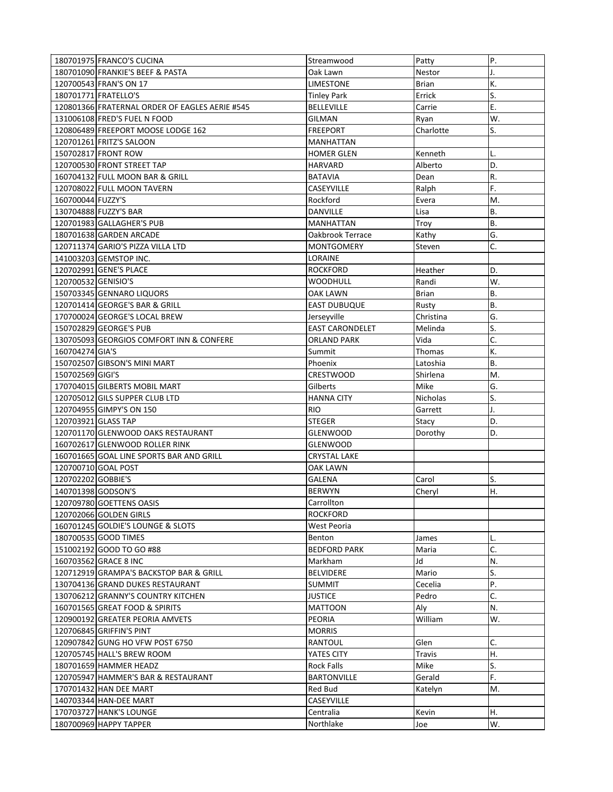| 180701975 FRANCO'S CUCINA                      | Streamwood             | Patty        | Ρ.        |
|------------------------------------------------|------------------------|--------------|-----------|
| 180701090 FRANKIE'S BEEF & PASTA               | Oak Lawn               | Nestor       | J.        |
| 120700543 FRAN'S ON 17                         | <b>LIMESTONE</b>       | <b>Brian</b> | K.        |
| 180701771 FRATELLO'S                           | <b>Tinley Park</b>     | Errick       | S.        |
| 120801366 FRATERNAL ORDER OF EAGLES AERIE #545 | <b>BELLEVILLE</b>      | Carrie       | Ε.        |
| 131006108 FRED'S FUEL N FOOD                   | GILMAN                 | Ryan         | W.        |
| 120806489 FREEPORT MOOSE LODGE 162             | <b>FREEPORT</b>        | Charlotte    | S.        |
| 120701261 FRITZ'S SALOON                       | <b>MANHATTAN</b>       |              |           |
| 150702817 FRONT ROW                            | <b>HOMER GLEN</b>      | Kenneth      |           |
| 120700530 FRONT STREET TAP                     | <b>HARVARD</b>         | Alberto      | D.        |
| 160704132 FULL MOON BAR & GRILL                | <b>BATAVIA</b>         | Dean         | R.        |
| 120708022 FULL MOON TAVERN                     | CASEYVILLE             | Ralph        | F.        |
| 160700044 FUZZY'S                              | Rockford               | Evera        | M.        |
| 130704888 FUZZY'S BAR                          | DANVILLE               | Lisa         | B.        |
| 120701983 GALLAGHER'S PUB                      | <b>MANHATTAN</b>       | Troy         | B.        |
| 180701638 GARDEN ARCADE                        | Oakbrook Terrace       | Kathy        | G.        |
| 120711374 GARIO'S PIZZA VILLA LTD              | MONTGOMERY             | Steven       | C.        |
| 141003203 GEMSTOP INC.                         | LORAINE                |              |           |
| 120702991 GENE'S PLACE                         | <b>ROCKFORD</b>        | Heather      | D.        |
| 120700532 GENISIO'S                            | WOODHULL               | Randi        | W.        |
| 150703345 GENNARO LIQUORS                      | OAK LAWN               | Brian        | В.        |
| 120701414 GEORGE'S BAR & GRILL                 | <b>EAST DUBUQUE</b>    | Rusty        | <b>B.</b> |
| 170700024 GEORGE'S LOCAL BREW                  | Jerseyville            | Christina    | G.        |
| 150702829 GEORGE'S PUB                         | <b>EAST CARONDELET</b> | Melinda      | S.        |
| 130705093 GEORGIOS COMFORT INN & CONFERE       | <b>ORLAND PARK</b>     | Vida         | C.        |
| 160704274 GIA'S                                | Summit                 | Thomas       | K.        |
| 150702507 GIBSON'S MINI MART                   | Phoenix                | Latoshia     | <b>B.</b> |
| 150702569 GIGI'S                               | <b>CRESTWOOD</b>       | Shirlena     | M.        |
| 170704015 GILBERTS MOBIL MART                  | Gilberts               | Mike         | G.        |
| 120705012 GILS SUPPER CLUB LTD                 | <b>HANNA CITY</b>      | Nicholas     | S.        |
| 120704955 GIMPY'S ON 150                       | <b>RIO</b>             | Garrett      | J.        |
| 120703921 GLASS TAP                            | <b>STEGER</b>          | Stacy        | D.        |
| 120701170 GLENWOOD OAKS RESTAURANT             | GLENWOOD               | Dorothy      | D.        |
| 160702617 GLENWOOD ROLLER RINK                 | GLENWOOD               |              |           |
| 160701665 GOAL LINE SPORTS BAR AND GRILL       | <b>CRYSTAL LAKE</b>    |              |           |
| 120700710 GOAL POST                            | <b>OAK LAWN</b>        |              |           |
| 120702202 GOBBIE'S                             | GALENA                 | Carol        | S.        |
| 140701398 GODSON'S                             | <b>BERWYN</b>          | Cheryl       | Η.        |
| 120709780 GOETTENS OASIS                       | Carrollton             |              |           |
| 120702066 GOLDEN GIRLS                         | <b>ROCKFORD</b>        |              |           |
| 160701245 GOLDIE'S LOUNGE & SLOTS              | West Peoria            |              |           |
| 180700535 GOOD TIMES                           | Benton                 | James        |           |
| 151002192 GOOD TO GO #88                       | <b>BEDFORD PARK</b>    | Maria        | C.        |
| 160703562 GRACE 8 INC                          | Markham                | Jd           | N.        |
| 120712919 GRAMPA'S BACKSTOP BAR & GRILL        | <b>BELVIDERE</b>       | Mario        | S.        |
| 130704136 GRAND DUKES RESTAURANT               | <b>SUMMIT</b>          | Cecelia      | P.        |
| 130706212 GRANNY'S COUNTRY KITCHEN             | <b>JUSTICE</b>         | Pedro        | C.        |
| 160701565 GREAT FOOD & SPIRITS                 | <b>MATTOON</b>         | Aly          | N.        |
| 120900192 GREATER PEORIA AMVETS                | PEORIA                 | William      | W.        |
| 120706845 GRIFFIN'S PINT                       | <b>MORRIS</b>          |              |           |
| 120907842 GUNG HO VFW POST 6750                | RANTOUL                | Glen         | C.        |
| 120705745 HALL'S BREW ROOM                     | YATES CITY             | Travis       | Η.        |
| 180701659 HAMMER HEADZ                         | Rock Falls             | Mike         | S.        |
| 120705947 HAMMER'S BAR & RESTAURANT            | <b>BARTONVILLE</b>     | Gerald       | F.        |
| 170701432 HAN DEE MART                         | Red Bud                | Katelyn      | M.        |
| 140703344 HAN-DEE MART                         | CASEYVILLE             |              |           |
| 170703727 HANK'S LOUNGE                        | Centralia              | Kevin        | Η.        |
| 180700969 HAPPY TAPPER                         | Northlake              | Joe          | W.        |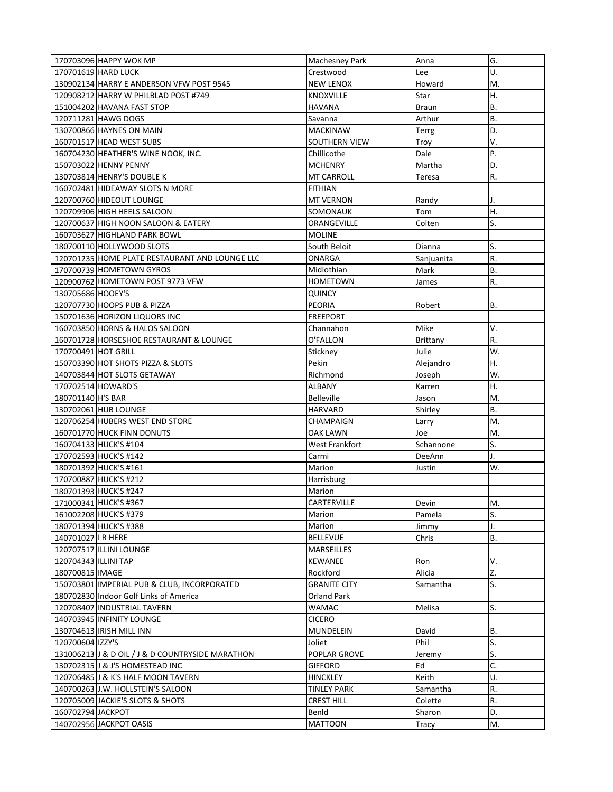| 170703096 HAPPY WOK MP                           | <b>Machesney Park</b>   | Anna            | G.        |
|--------------------------------------------------|-------------------------|-----------------|-----------|
| 170701619 HARD LUCK                              | Crestwood               | Lee             | U.        |
| 130902134 HARRY E ANDERSON VFW POST 9545         | <b>NEW LENOX</b>        | Howard          | M.        |
| 120908212 HARRY W PHILBLAD POST #749             | <b>KNOXVILLE</b>        | Star            | Η.        |
| 151004202 HAVANA FAST STOP                       | HAVANA                  | <b>Braun</b>    | В.        |
| 120711281 HAWG DOGS                              | Savanna                 | Arthur          | В.        |
| 130700866 HAYNES ON MAIN                         | <b>MACKINAW</b>         | Terrg           | D.        |
| 160701517 HEAD WEST SUBS                         | SOUTHERN VIEW           | Troy            | V.        |
| 160704230 HEATHER'S WINE NOOK, INC.              | Chillicothe             | Dale            | P.        |
| 150703022 HENNY PENNY                            | <b>MCHENRY</b>          | Martha          | D.        |
| 130703814 HENRY'S DOUBLE K                       | <b>MT CARROLL</b>       | Teresa          | R.        |
| 160702481 HIDEAWAY SLOTS N MORE                  | <b>FITHIAN</b>          |                 |           |
| 120700760 HIDEOUT LOUNGE                         | <b>MT VERNON</b>        | Randy           | J.        |
| 120709906 HIGH HEELS SALOON                      | SOMONAUK                | Tom             | Η.        |
| 120700637 HIGH NOON SALOON & EATERY              | ORANGEVILLE             | Colten          | S.        |
| 160703627 HIGHLAND PARK BOWL                     | <b>MOLINE</b>           |                 |           |
| 180700110 HOLLYWOOD SLOTS                        | South Beloit            | Dianna          | S.        |
| 120701235 HOME PLATE RESTAURANT AND LOUNGE LLC   | ONARGA                  | Sanjuanita      | R.        |
| 170700739 HOMETOWN GYROS                         | Midlothian              | Mark            | <b>B.</b> |
| 120900762 HOMETOWN POST 9773 VFW                 | <b>HOMETOWN</b>         | James           | R.        |
| 130705686 HOOEY'S                                | QUINCY                  |                 |           |
| 120707730 HOOPS PUB & PIZZA                      | <b>PEORIA</b>           | Robert          | В.        |
| 150701636 HORIZON LIQUORS INC                    | <b>FREEPORT</b>         |                 |           |
| 160703850 HORNS & HALOS SALOON                   | Channahon               | Mike            | V.        |
| 160701728 HORSESHOE RESTAURANT & LOUNGE          | O'FALLON                | Brittany        | R.        |
| 170700491 HOT GRILL                              | Stickney                | Julie           | W.        |
| 150703390 HOT SHOTS PIZZA & SLOTS                | Pekin                   | Alejandro       | Η.        |
| 140703844 HOT SLOTS GETAWAY                      | Richmond                | Joseph          | W.        |
|                                                  |                         |                 |           |
|                                                  |                         |                 |           |
| 170702514 HOWARD'S                               | <b>ALBANY</b>           | Karren          | Η.        |
| 180701140 H'S BAR                                | <b>Belleville</b>       | Jason           | M.        |
| 130702061 HUB LOUNGE                             | HARVARD                 | Shirley         | <b>B.</b> |
| 120706254 HUBERS WEST END STORE                  | CHAMPAIGN               | Larry           | M.        |
| 160701770 HUCK FINN DONUTS                       | OAK LAWN                | Joe             | M.        |
| 160704133 HUCK'S #104                            | West Frankfort          | Schannone       | S.        |
| 170702593 HUCK'S #142                            | Carmi                   | DeeAnn          | J.        |
| 180701392 HUCK'S #161                            | Marion                  | Justin          | W.        |
| 170700887 HUCK'S #212                            | Harrisburg              |                 |           |
| 180701393 HUCK'S #247                            | Marion                  |                 |           |
| 171000341 HUCK'S #367                            | CARTERVILLE             | Devin           | M.        |
| 161002208 HUCK'S #379                            | Marion                  | Pamela          | S.        |
| 180701394 HUCK'S #388                            | Marion                  | Jimmy           | J.        |
| 140701027 IR HERE                                | <b>BELLEVUE</b>         | Chris           | В.        |
| 120707517 ILLINI LOUNGE                          | MARSEILLES              |                 |           |
| 120704343 ILLINI TAP                             | <b>KEWANEE</b>          | Ron             | V.        |
| 180700815 IMAGE                                  | Rockford                | Alicia          | Z.        |
| 150703801 IMPERIAL PUB & CLUB. INCORPORATED      | <b>GRANITE CITY</b>     | Samantha        | S.        |
| 180702830 Indoor Golf Links of America           | <b>Orland Park</b>      |                 |           |
| 120708407 INDUSTRIAL TAVERN                      | WAMAC                   | Melisa          | S.        |
| 140703945 INFINITY LOUNGE                        | <b>CICERO</b>           |                 |           |
| 130704613 IRISH MILL INN                         | MUNDELEIN               | David           | В.        |
| 120700604 IZZY'S                                 | Joliet                  | Phil            | S.        |
| 131006213 J & D OIL / J & D COUNTRYSIDE MARATHON | POPLAR GROVE            | Jeremy          | S.        |
| 130702315 J & J'S HOMESTEAD INC                  | <b>GIFFORD</b>          | Ed              | C.        |
| 120706485 J & K'S HALF MOON TAVERN               | <b>HINCKLEY</b>         | Keith           | U.        |
| 140700263 J.W. HOLLSTEIN'S SALOON                | <b>TINLEY PARK</b>      | Samantha        | R.        |
| 120705009 JACKIE'S SLOTS & SHOTS                 | <b>CREST HILL</b>       | Colette         | R.        |
| 160702794 JACKPOT<br>140702956 JACKPOT OASIS     | Benld<br><b>MATTOON</b> | Sharon<br>Tracy | D.<br>M.  |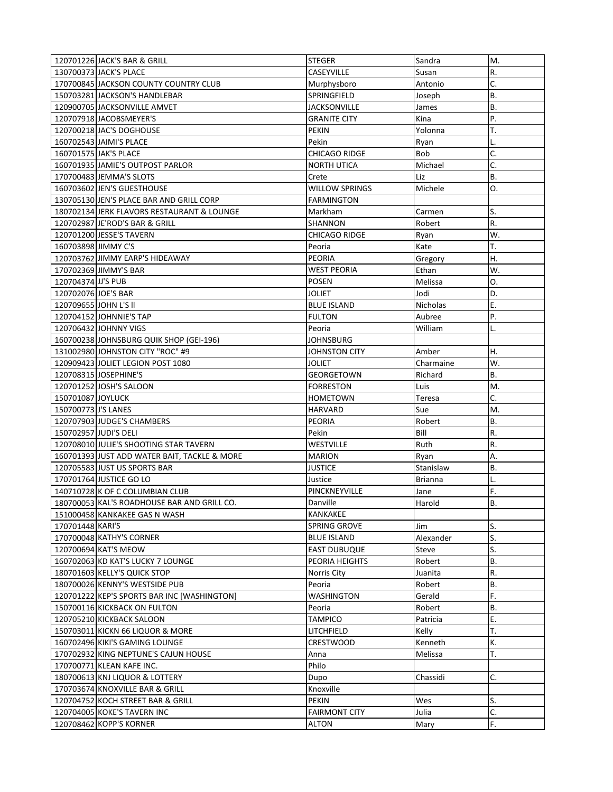| 120701226 JACK'S BAR & GRILL                 | <b>STEGER</b>        | Sandra         | M.        |
|----------------------------------------------|----------------------|----------------|-----------|
| 130700373 JACK'S PLACE                       | <b>CASEYVILLE</b>    | Susan          | R.        |
| 170700845 JACKSON COUNTY COUNTRY CLUB        | Murphysboro          | Antonio        | C.        |
| 150703281 JACKSON'S HANDLEBAR                | SPRINGFIELD          | Joseph         | <b>B.</b> |
| 120900705 JACKSONVILLE AMVET                 | <b>JACKSONVILLE</b>  | James          | <b>B.</b> |
| 120707918 JACOBSMEYER'S                      | <b>GRANITE CITY</b>  | Kina           | P.        |
| 120700218 JAC'S DOGHOUSE                     | <b>PEKIN</b>         | Yolonna        | T.        |
| 160702543 JAIMI'S PLACE                      | Pekin                | Ryan           | L.        |
| 160701575 JAK'S PLACE                        | <b>CHICAGO RIDGE</b> | <b>Bob</b>     | C.        |
| 160701935 JAMIE'S OUTPOST PARLOR             | <b>NORTH UTICA</b>   | Michael        | C.        |
| 170700483 JEMMA'S SLOTS                      | Crete                | Liz            | <b>B.</b> |
| 160703602 JEN'S GUESTHOUSE                   | WILLOW SPRINGS       | Michele        | 0.        |
| 130705130 JEN'S PLACE BAR AND GRILL CORP     | <b>FARMINGTON</b>    |                |           |
| 180702134 JERK FLAVORS RESTAURANT & LOUNGE   | Markham              | Carmen         | S.        |
| 120702987 JE'ROD'S BAR & GRILL               | SHANNON              | Robert         | R.        |
| 120701200 JESSE'S TAVERN                     | CHICAGO RIDGE        | Ryan           | W.        |
| 160703898 JIMMY C'S                          | Peoria               | Kate           | T.        |
| 120703762 JIMMY EARP'S HIDEAWAY              | PEORIA               | Gregory        | Η.        |
| 170702369 JIMMY'S BAR                        | WEST PEORIA          | Ethan          | W.        |
| 120704374 JJ'S PUB                           | <b>POSEN</b>         | Melissa        | O.        |
| 120702076 JOE'S BAR                          | <b>JOLIET</b>        | Jodi           | D.        |
| 120709655 JOHN L'S II                        | <b>BLUE ISLAND</b>   | Nicholas       | Ε.        |
| 120704152 JOHNNIE'S TAP                      | <b>FULTON</b>        | Aubree         | Ρ.        |
| 120706432 JOHNNY VIGS                        | Peoria               | William        | L.        |
| 160700238 JOHNSBURG QUIK SHOP (GEI-196)      | JOHNSBURG            |                |           |
| 131002980 JOHNSTON CITY "ROC" #9             | JOHNSTON CITY        | Amber          | Η.        |
| 120909423 JOLIET LEGION POST 1080            | JOLIET               | Charmaine      | W.        |
| 120708315 JOSEPHINE'S                        | GEORGETOWN           | Richard        | <b>B.</b> |
| 120701252 JOSH'S SALOON                      | <b>FORRESTON</b>     | Luis           | M.        |
|                                              |                      |                |           |
| 150701087 JOYLUCK                            | <b>HOMETOWN</b>      | Teresa         | C.        |
| 150700773 J'S LANES                          | HARVARD              | Sue            | M.        |
| 120707903 JUDGE'S CHAMBERS                   | <b>PEORIA</b>        | Robert         | В.        |
| 150702957 JUDI'S DELI                        | Pekin                | Bill           | R.        |
| 120708010 JULIE'S SHOOTING STAR TAVERN       | WESTVILLE            | Ruth           | R.        |
| 160701393 JUST ADD WATER BAIT, TACKLE & MORE | <b>MARION</b>        | Ryan           | Α.        |
| 120705583 JUST US SPORTS BAR                 | <b>JUSTICE</b>       | Stanislaw      | Β.        |
| 170701764 JUSTICE GO LO                      | Justice              | <b>Brianna</b> | L.        |
| 140710728 K OF C COLUMBIAN CLUB              | PINCKNEYVILLE        | Jane           | F.        |
| 180700053 KAL'S ROADHOUSE BAR AND GRILL CO.  | Danville             | Harold         | В.        |
| 151000458 KANKAKEE GAS N WASH                | KANKAKEE             |                |           |
| 170701448 KARI'S                             | SPRING GROVE         | Jim            | S.        |
| 170700048 KATHY'S CORNER                     | <b>BLUE ISLAND</b>   | Alexander      | S.        |
| 120700694 KAT'S MEOW                         | <b>EAST DUBUQUE</b>  | Steve          | S.        |
| 160702063 KD KAT'S LUCKY 7 LOUNGE            | PEORIA HEIGHTS       | Robert         | <b>B.</b> |
| 180701603 KELLY'S QUICK STOP                 | Norris City          | Juanita        | R.        |
| 180700026 KENNY'S WESTSIDE PUB               | Peoria               | Robert         | <b>B.</b> |
| 120701222 KEP'S SPORTS BAR INC [WASHINGTON]  | WASHINGTON           | Gerald         | F.        |
| 150700116 KICKBACK ON FULTON                 | Peoria               | Robert         | <b>B.</b> |
| 120705210 KICKBACK SALOON                    | <b>TAMPICO</b>       | Patricia       | Ε.        |
| 150703011 KICKN 66 LIQUOR & MORE             | LITCHFIELD           | Kelly          | T.        |
| 160702496 KIKI'S GAMING LOUNGE               | CRESTWOOD            | Kenneth        | К.        |
| 170702932 KING NEPTUNE'S CAJUN HOUSE         | Anna                 | Melissa        | T.        |
| 170700771 KLEAN KAFE INC.                    | Philo                |                |           |
| 180700613 KNJ LIQUOR & LOTTERY               | Dupo                 | Chassidi       | C.        |
| 170703674 KNOXVILLE BAR & GRILL              | Knoxville            |                |           |
| 120704752 KOCH STREET BAR & GRILL            | <b>PEKIN</b>         | Wes            | S.        |
| 120704005 KOKE'S TAVERN INC                  | <b>FAIRMONT CITY</b> | Julia          | C.        |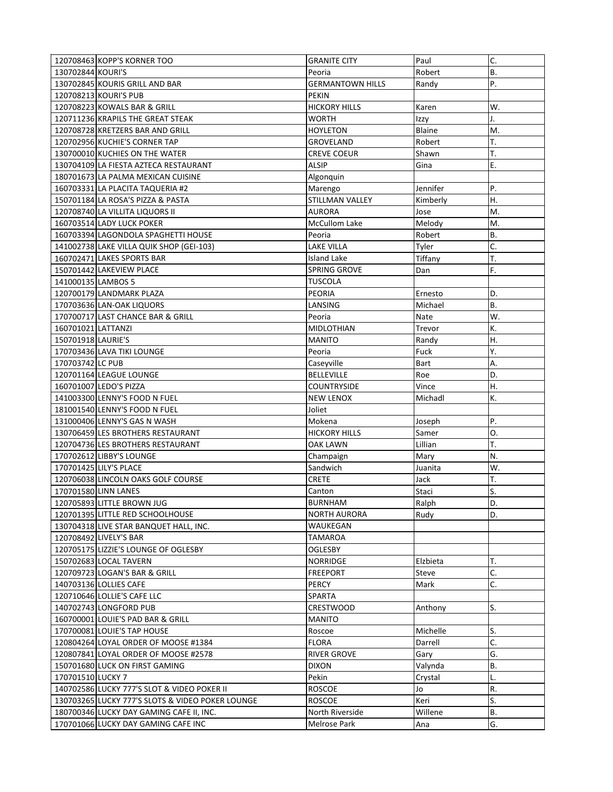|                    | 120708463 KOPP'S KORNER TOO                      | <b>GRANITE CITY</b>     | Paul     | C.        |
|--------------------|--------------------------------------------------|-------------------------|----------|-----------|
| 130702844 KOURI'S  |                                                  | Peoria                  | Robert   | <b>B.</b> |
|                    | 130702845 KOURIS GRILL AND BAR                   | <b>GERMANTOWN HILLS</b> | Randy    | P.        |
|                    | 120708213 KOURI'S PUB                            | <b>PEKIN</b>            |          |           |
|                    | 120708223 KOWALS BAR & GRILL                     | <b>HICKORY HILLS</b>    | Karen    | W.        |
|                    | 120711236 KRAPILS THE GREAT STEAK                | WORTH                   | Izzy     | J.        |
|                    | 120708728 KRETZERS BAR AND GRILL                 | <b>HOYLETON</b>         | Blaine   | M.        |
|                    | 120702956 KUCHIE'S CORNER TAP                    | GROVELAND               | Robert   | T.        |
|                    | 130700010 KUCHIES ON THE WATER                   | CREVE COEUR             | Shawn    | T.        |
|                    | 130704109 LA FIESTA AZTECA RESTAURANT            | <b>ALSIP</b>            | Gina     | Ε.        |
|                    | 180701673 LA PALMA MEXICAN CUISINE               | Algonquin               |          |           |
|                    | 160703331 LA PLACITA TAQUERIA #2                 | Marengo                 | Jennifer | P.        |
|                    | 150701184 LA ROSA'S PIZZA & PASTA                | STILLMAN VALLEY         | Kimberly | Η.        |
|                    | 120708740 LA VILLITA LIQUORS II                  | AURORA                  | Jose     | M.        |
|                    | 160703514 LADY LUCK POKER                        | <b>McCullom Lake</b>    | Melody   | M.        |
|                    | 160703394 LAGONDOLA SPAGHETTI HOUSE              | Peoria                  | Robert   | <b>B.</b> |
|                    | 141002738 LAKE VILLA QUIK SHOP (GEI-103)         | LAKE VILLA              | Tyler    | C.        |
|                    | 160702471 LAKES SPORTS BAR                       | Island Lake             | Tiffany  | T.        |
|                    | 150701442 LAKEVIEW PLACE                         | SPRING GROVE            | Dan      | F.        |
| 141000135 LAMBOS 5 |                                                  | <b>TUSCOLA</b>          |          |           |
|                    | 120700179 LANDMARK PLAZA                         | PEORIA                  | Ernesto  | D.        |
|                    | 170703636 LAN-OAK LIQUORS                        | LANSING                 | Michael  | <b>B.</b> |
|                    | 170700717 LAST CHANCE BAR & GRILL                | Peoria                  | Nate     | W.        |
| 160701021 LATTANZI |                                                  | <b>MIDLOTHIAN</b>       | Trevor   | К.        |
| 150701918 LAURIE'S |                                                  | <b>MANITO</b>           | Randy    | Η.        |
|                    | 170703436 LAVA TIKI LOUNGE                       | Peoria                  | Fuck     | Y.        |
| 170703742 LC PUB   |                                                  | Caseyville              | Bart     | А.        |
|                    | 120701164 LEAGUE LOUNGE                          | <b>BELLEVILLE</b>       | Roe      | D.        |
|                    | 160701007 LEDO'S PIZZA                           | <b>COUNTRYSIDE</b>      | Vince    | Η.        |
|                    | 141003300 LENNY'S FOOD N FUEL                    | <b>NEW LENOX</b>        | Michadl  | К.        |
|                    | 181001540 LENNY'S FOOD N FUEL                    | Joliet                  |          |           |
|                    | 131000406 LENNY'S GAS N WASH                     | Mokena                  | Joseph   | P.        |
|                    | 130706459 LES BROTHERS RESTAURANT                | <b>HICKORY HILLS</b>    | Samer    | 0.        |
|                    | 120704736 LES BROTHERS RESTAURANT                | OAK LAWN                | Lillian  | T.        |
|                    | 170702612LIBBY'S LOUNGE                          | Champaign               | Mary     | N.        |
|                    | 170701425 LILY'S PLACE                           | Sandwich                | Juanita  | W.        |
|                    | 120706038 LINCOLN OAKS GOLF COURSE               | <b>CRETE</b>            | Jack     | T.        |
|                    | 170701580 LINN LANES                             | Canton                  | Staci    | S.        |
|                    | 120705893 LITTLE BROWN JUG                       | BURNHAM                 | Ralph    | D.        |
|                    | 120701395 LITTLE RED SCHOOLHOUSE                 | <b>NORTH AURORA</b>     | Rudy     | D.        |
|                    | 130704318 LIVE STAR BANQUET HALL, INC.           | WAUKEGAN                |          |           |
|                    | 120708492 LIVELY'S BAR                           | <b>TAMAROA</b>          |          |           |
|                    | 120705175 LIZZIE'S LOUNGE OF OGLESBY             | OGLESBY                 |          |           |
|                    | 150702683 LOCAL TAVERN                           | <b>NORRIDGE</b>         | Elzbieta | T.        |
|                    | 120709723 LOGAN'S BAR & GRILL                    | <b>FREEPORT</b>         | Steve    | C.        |
|                    | 140703136 LOLLIES CAFE                           | PERCY                   | Mark     | C.        |
|                    | 120710646 LOLLIE'S CAFE LLC                      | SPARTA                  |          |           |
|                    | 140702743 LONGFORD PUB                           | CRESTWOOD               | Anthony  | S.        |
|                    | 160700001 LOUIE'S PAD BAR & GRILL                | <b>MANITO</b>           |          |           |
|                    | 170700081 LOUIE'S TAP HOUSE                      | Roscoe                  | Michelle | S.        |
|                    | 120804264 LOYAL ORDER OF MOOSE #1384             | <b>FLORA</b>            | Darrell  | C.        |
|                    | 120807841 LOYAL ORDER OF MOOSE #2578             | <b>RIVER GROVE</b>      | Gary     | G.        |
|                    | 150701680 LUCK ON FIRST GAMING                   | <b>DIXON</b>            | Valynda  | <b>B.</b> |
| 170701510 LUCKY 7  |                                                  | Pekin                   | Crystal  | L.        |
|                    | 140702586 LUCKY 777'S SLOT & VIDEO POKER II      | <b>ROSCOE</b>           | Jo       | R.        |
|                    | 130703265 LUCKY 777'S SLOTS & VIDEO POKER LOUNGE | <b>ROSCOE</b>           | Keri     | S.        |
|                    | 180700346 LUCKY DAY GAMING CAFE II, INC.         | North Riverside         | Willene  | В.        |
|                    | 170701066 LUCKY DAY GAMING CAFE INC              | Melrose Park            | Ana      | G.        |
|                    |                                                  |                         |          |           |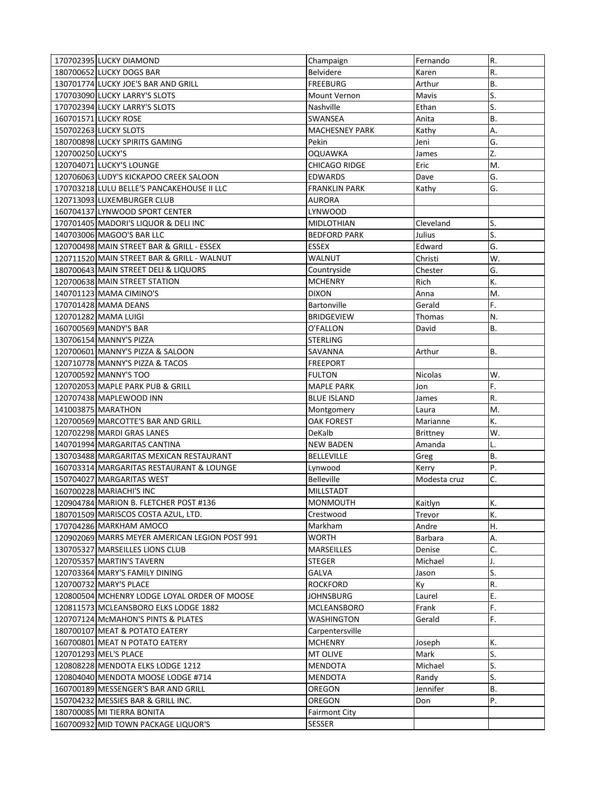|                   | 170702395 LUCKY DIAMOND                        | Champaign             | Fernando        | R.        |
|-------------------|------------------------------------------------|-----------------------|-----------------|-----------|
|                   | 180700652 LUCKY DOGS BAR                       | Belvidere             | Karen           | R.        |
|                   | 130701774 LUCKY JOE'S BAR AND GRILL            | <b>FREEBURG</b>       | Arthur          | <b>B.</b> |
|                   | 170703090 LUCKY LARRY'S SLOTS                  | Mount Vernon          | Mavis           | S.        |
|                   | 170702394 LUCKY LARRY'S SLOTS                  | Nashville             | Ethan           | S.        |
|                   | 160701571 LUCKY ROSE                           | SWANSEA               | Anita           | B.        |
|                   | 150702263 LUCKY SLOTS                          | <b>MACHESNEY PARK</b> | Kathy           | А.        |
|                   | 180700898 LUCKY SPIRITS GAMING                 | Pekin                 | Jeni            | G.        |
| 120700250 LUCKY'S |                                                | <b>OQUAWKA</b>        | James           | Z.        |
|                   | 120704071 LUCKY'S LOUNGE                       | CHICAGO RIDGE         | Eric            | M.        |
|                   | 120706063 LUDY'S KICKAPOO CREEK SALOON         | <b>EDWARDS</b>        | Dave            | G.        |
|                   | 170703218 LULU BELLE'S PANCAKEHOUSE II LLC     | <b>FRANKLIN PARK</b>  | Kathy           | G.        |
|                   | 120713093 LUXEMBURGER CLUB                     | <b>AURORA</b>         |                 |           |
|                   | 160704137 LYNWOOD SPORT CENTER                 | LYNWOOD               |                 |           |
|                   | 170701405 MADORI'S LIQUOR & DELI INC           | <b>MIDLOTHIAN</b>     | Cleveland       | S.        |
|                   | 140703006 MAGOO'S BAR LLC                      | <b>BEDFORD PARK</b>   | Julius          | S.        |
|                   | 120700498 MAIN STREET BAR & GRILL - ESSEX      | <b>ESSEX</b>          | Edward          | G.        |
|                   | 120711520 MAIN STREET BAR & GRILL - WALNUT     | WALNUT                | Christi         | W.        |
|                   | 180700643 MAIN STREET DELI & LIQUORS           | Countryside           | Chester         | G.        |
|                   | 120700638 MAIN STREET STATION                  | <b>MCHENRY</b>        | Rich            | K.        |
|                   | 140701123 MAMA CIMINO'S                        | <b>DIXON</b>          | Anna            | M.        |
|                   | 170701428 MAMA DEANS                           | Bartonville           | Gerald          | F.        |
|                   | 120701282 MAMA LUIGI                           | <b>BRIDGEVIEW</b>     | Thomas          | N.        |
|                   | 160700569 MANDY'S BAR                          | O'FALLON              | David           | В.        |
|                   | 130706154 MANNY'S PIZZA                        | <b>STERLING</b>       |                 |           |
|                   | 120700601 MANNY'S PIZZA & SALOON               | SAVANNA               | Arthur          | В.        |
|                   | 120710778 MANNY'S PIZZA & TACOS                | <b>FREEPORT</b>       |                 |           |
|                   | 120700592 MANNY'S TOO                          | <b>FULTON</b>         | Nicolas         | W.        |
|                   | 120702053 MAPLE PARK PUB & GRILL               | <b>MAPLE PARK</b>     | Jon             | F.        |
|                   |                                                |                       |                 |           |
|                   | 120707438 MAPLEWOOD INN                        | <b>BLUE ISLAND</b>    | James           | R.        |
|                   | 141003875 MARATHON                             | Montgomery            | Laura           | M.        |
|                   | 120700569 MARCOTTE'S BAR AND GRILL             | OAK FOREST            | Marianne        | К.        |
|                   | 120702298 MARDI GRAS LANES                     | DeKalb                | <b>Brittney</b> | W.        |
|                   | 140701994 MARGARITAS CANTINA                   | <b>NEW BADEN</b>      | Amanda          | L.        |
|                   | 130703488 MARGARITAS MEXICAN RESTAURANT        | <b>BELLEVILLE</b>     | Greg            | <b>B.</b> |
|                   | 160703314 MARGARITAS RESTAURANT & LOUNGE       | Lynwood               | Kerry           | P.        |
|                   | 150704027 MARGARITAS WEST                      | <b>Belleville</b>     | Modesta cruz    | C.        |
|                   | 160700228 MARIACHI'S INC                       | <b>MILLSTADT</b>      |                 |           |
|                   | 120904784 MARION B. FLETCHER POST #136         | MONMOUTH              | Kaitlyn         | K.        |
|                   | 180701509 MARISCOS COSTA AZUL, LTD.            | Crestwood             | Trevor          | К.        |
|                   | 170704286 MARKHAM AMOCO                        | Markham               | Andre           | Η.        |
|                   | 120902069 MARRS MEYER AMERICAN LEGION POST 991 | <b>WORTH</b>          | Barbara         | А.        |
|                   | 130705327 MARSEILLES LIONS CLUB                | MARSEILLES            | Denise          | C.        |
|                   | 120705357 MARTIN'S TAVERN                      | <b>STEGER</b>         | Michael         | J.        |
|                   | 120703364 MARY'S FAMILY DINING                 | GALVA                 | Jason           | S.        |
|                   | 120700732 MARY'S PLACE                         | <b>ROCKFORD</b>       | Ky              | R.        |
|                   | 120800504 MCHENRY LODGE LOYAL ORDER OF MOOSE   | JOHNSBURG             | Laurel          | Ε.        |
|                   | 120811573 MCLEANSBORO ELKS LODGE 1882          | MCLEANSBORO           | Frank           | F.        |
|                   | 120707124 McMAHON'S PINTS & PLATES             | WASHINGTON            | Gerald          | F.        |
|                   | 180700107 MEAT & POTATO EATERY                 | Carpentersville       |                 |           |
|                   | 160700801 MEAT N POTATO EATERY                 | <b>MCHENRY</b>        | Joseph          | К.        |
|                   | 120701293 MEL'S PLACE                          | MT OLIVE              | Mark            | S.        |
|                   | 120808228 MENDOTA ELKS LODGE 1212              | MENDOTA               | Michael         | S.        |
|                   | 120804040 MENDOTA MOOSE LODGE #714             | MENDOTA               | Randy           | S.        |
|                   | 160700189 MESSENGER'S BAR AND GRILL            | OREGON                | Jennifer        | <b>B.</b> |
|                   | 150704232 MESSIES BAR & GRILL INC.             | OREGON                | Don             | P.        |
|                   | 180700085 MI TIERRA BONITA                     | <b>Fairmont City</b>  |                 |           |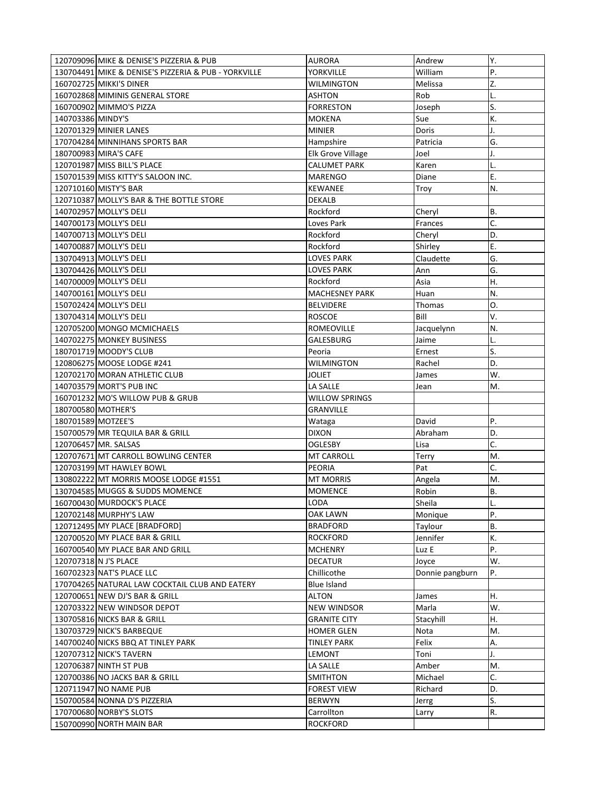| 120709096 MIKE & DENISE'S PIZZERIA & PUB             | <b>AURORA</b>                  | Andrew          | Υ.        |
|------------------------------------------------------|--------------------------------|-----------------|-----------|
| 130704491 MIKE & DENISE'S PIZZERIA & PUB - YORKVILLE | YORKVILLE                      | William         | P.        |
| 160702725 MIKKI'S DINER                              | WILMINGTON                     | Melissa         | Z.        |
| 160702868 MIMINIS GENERAL STORE                      | <b>ASHTON</b>                  | Rob             | L.        |
| 160700902 MIMMO'S PIZZA                              | <b>FORRESTON</b>               | Joseph          | S.        |
| 140703386 MINDY'S                                    | <b>MOKENA</b>                  | Sue             | K.        |
| 120701329 MINIER LANES                               | <b>MINIER</b>                  | Doris           | J.        |
| 170704284 MINNIHANS SPORTS BAR                       | Hampshire                      | Patricia        | G.        |
| 180700983 MIRA'S CAFE                                | <b>Elk Grove Village</b>       | Joel            | J.        |
| 120701987 MISS BILL'S PLACE                          | <b>CALUMET PARK</b>            | Karen           | L.        |
| 150701539 MISS KITTY'S SALOON INC.                   | <b>MARENGO</b>                 | Diane           | Ε.        |
| 120710160 MISTY'S BAR                                | <b>KEWANEE</b>                 | Troy            | N.        |
| 120710387 MOLLY'S BAR & THE BOTTLE STORE             | DEKALB                         |                 |           |
| 140702957 MOLLY'S DELI                               | Rockford                       | Cheryl          | <b>B.</b> |
| 140700173 MOLLY'S DELI                               | Loves Park                     | Frances         | C.        |
| 140700713 MOLLY'S DELI                               | Rockford                       | Cheryl          | D.        |
| 140700887 MOLLY'S DELI                               | Rockford                       | Shirley         | Ε.        |
| 130704913 MOLLY'S DELI                               | <b>LOVES PARK</b>              | Claudette       | G.        |
| 130704426 MOLLY'S DELI                               | <b>LOVES PARK</b>              | Ann             | G.        |
| 140700009 MOLLY'S DELI                               | Rockford                       | Asia            | Η.        |
| 140700161 MOLLY'S DELI                               | <b>MACHESNEY PARK</b>          | Huan            | N.        |
| 150702424 MOLLY'S DELI                               | <b>BELVIDERE</b>               | Thomas          | O.        |
| 130704314 MOLLY'S DELI                               | <b>ROSCOE</b>                  | Bill            | V.        |
| 120705200 MONGO MCMICHAELS                           | ROMEOVILLE                     | Jacquelynn      | N.        |
| 140702275 MONKEY BUSINESS                            | GALESBURG                      | Jaime           | L.        |
| 180701719 MOODY'S CLUB                               | Peoria                         | Ernest          | S.        |
| 120806275 MOOSE LODGE #241                           | WILMINGTON                     | Rachel          | D.        |
| 120702170 MORAN ATHLETIC CLUB                        | JOLIET                         | James           | W.        |
|                                                      |                                |                 |           |
|                                                      |                                |                 |           |
| 140703579 MORT'S PUB INC                             | LA SALLE                       | Jean            | М.        |
| 160701232 MO'S WILLOW PUB & GRUB                     | WILLOW SPRINGS                 |                 |           |
| 180700580 MOTHER'S                                   | GRANVILLE                      |                 |           |
| 180701589 MOTZEE'S                                   | Wataga                         | David           | P.        |
| 150700579 MR TEQUILA BAR & GRILL                     | <b>DIXON</b><br><b>OGLESBY</b> | Abraham         | D.        |
| 120706457 MR. SALSAS                                 |                                | Lisa            | C.        |
| 120707671 MT CARROLL BOWLING CENTER                  | <b>MT CARROLL</b>              | Terry           | M.        |
| 120703199 MT HAWLEY BOWL                             | <b>PEORIA</b>                  | Pat             | C.        |
| 130802222 MT MORRIS MOOSE LODGE #1551                | <b>MT MORRIS</b>               | Angela          | M.        |
| 130704585 MUGGS & SUDDS MOMENCE                      | <b>MOMENCE</b>                 | Robin           | <b>B.</b> |
| 160700430 MURDOCK'S PLACE                            | LODA                           | Sheila          | L.        |
| 120702148 MURPHY'S LAW                               | OAK LAWN                       | Monique         | Ρ.        |
| 120712495 MY PLACE [BRADFORD]                        | <b>BRADFORD</b>                | Taylour         | В.        |
| 120700520 MY PLACE BAR & GRILL                       | <b>ROCKFORD</b>                | Jennifer        | К.        |
| 160700540 MY PLACE BAR AND GRILL                     | <b>MCHENRY</b>                 | Luz E           | P.        |
| 120707318 N J'S PLACE                                | <b>DECATUR</b>                 | Joyce           | W.        |
| 160702323 NAT'S PLACE LLC                            | Chillicothe                    | Donnie pangburn | Ρ.        |
| 170704265 NATURAL LAW COCKTAIL CLUB AND EATERY       | <b>Blue Island</b>             |                 |           |
| 120700651 NEW DJ'S BAR & GRILL                       | ALTON                          | James           | Η.        |
| 120703322 NEW WINDSOR DEPOT                          | NEW WINDSOR                    | Marla           | W.        |
| 130705816 NICKS BAR & GRILL                          | GRANITE CITY                   | Stacyhill       | Η.        |
| 130703729 NICK'S BARBEQUE                            | <b>HOMER GLEN</b>              | Nota            | M.        |
| 140700240 NICKS BBQ AT TINLEY PARK                   | <b>TINLEY PARK</b>             | Felix           | А.        |
| 120707312 NICK'S TAVERN                              | LEMONT                         | Toni            | J.        |
| 120706387 NINTH ST PUB                               | LA SALLE                       | Amber           | M.        |
| 120700386 NO JACKS BAR & GRILL                       | SMITHTON                       | Michael         | C.        |
| 120711947 NO NAME PUB                                | <b>FOREST VIEW</b>             | Richard         | D.        |
| 150700584 NONNA D'S PIZZERIA                         | <b>BERWYN</b>                  | Jerrg           | S.        |
| 170700680 NORBY'S SLOTS<br>150700990 NORTH MAIN BAR  | Carrollton<br><b>ROCKFORD</b>  | Larry           | R.        |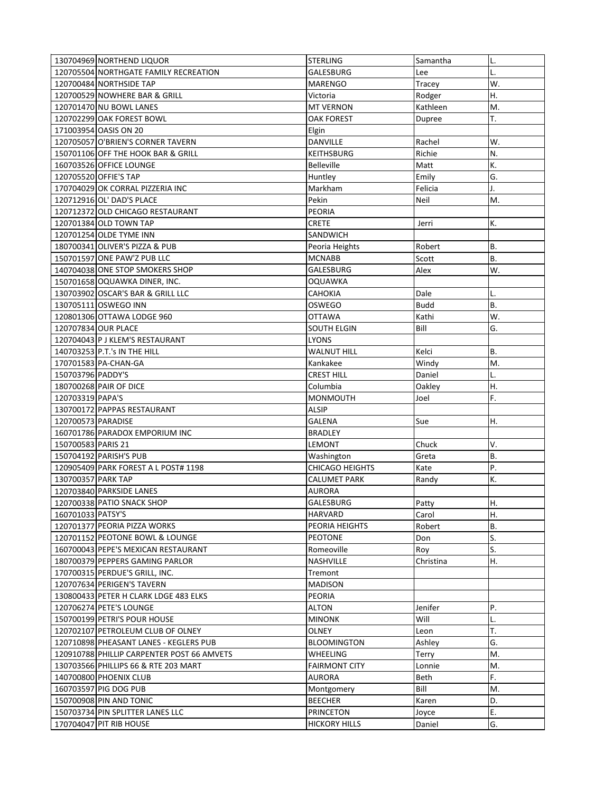|                    | 130704969 NORTHEND LIQUOR                                   | <b>STERLING</b>                          | Samantha        | L.        |
|--------------------|-------------------------------------------------------------|------------------------------------------|-----------------|-----------|
|                    | 120705504 NORTHGATE FAMILY RECREATION                       | GALESBURG                                | Lee             |           |
|                    | 120700484 NORTHSIDE TAP                                     | <b>MARENGO</b>                           | Tracey          | W.        |
|                    | 120700529 NOWHERE BAR & GRILL                               | Victoria                                 | Rodger          | Η.        |
|                    | 120701470 NU BOWL LANES                                     | <b>MT VERNON</b>                         | Kathleen        | M.        |
|                    | 120702299 OAK FOREST BOWL                                   | <b>OAK FOREST</b>                        | Dupree          | T.        |
|                    | 171003954 OASIS ON 20                                       | Elgin                                    |                 |           |
|                    | 120705057 O'BRIEN'S CORNER TAVERN                           | DANVILLE                                 | Rachel          | W.        |
|                    | 150701106 OFF THE HOOK BAR & GRILL                          | <b>KEITHSBURG</b>                        | Richie          | N.        |
|                    | 160703526 OFFICE LOUNGE                                     | <b>Belleville</b>                        | Matt            | K.        |
|                    | 120705520 OFFIE'S TAP                                       | Huntley                                  | Emily           | G.        |
|                    | 170704029 OK CORRAL PIZZERIA INC                            | Markham                                  | Felicia         | J.        |
|                    | 120712916 OL' DAD'S PLACE                                   | Pekin                                    | Neil            | M.        |
|                    | 120712372 OLD CHICAGO RESTAURANT                            | <b>PEORIA</b>                            |                 |           |
|                    | 120701384 OLD TOWN TAP                                      | <b>CRETE</b>                             | Jerri           | К.        |
|                    | 120701254 OLDE TYME INN                                     | SANDWICH                                 |                 |           |
|                    | 180700341 OLIVER'S PIZZA & PUB                              | Peoria Heights                           | Robert          | В.        |
|                    | 150701597 ONE PAW'Z PUB LLC                                 | <b>MCNABB</b>                            | Scott           | <b>B.</b> |
|                    | 140704038 ONE STOP SMOKERS SHOP                             | GALESBURG                                | Alex            | W.        |
|                    | 150701658 OQUAWKA DINER, INC.                               | <b>OQUAWKA</b>                           |                 |           |
|                    | 130703902 OSCAR'S BAR & GRILL LLC                           | <b>CAHOKIA</b>                           | Dale            | L.        |
|                    | 130705111 OSWEGO INN                                        | OSWEGO                                   | <b>Budd</b>     | <b>B.</b> |
|                    |                                                             |                                          |                 |           |
|                    | 120801306 OTTAWA LODGE 960                                  | <b>OTTAWA</b>                            | Kathi           | W.        |
|                    | 120707834 OUR PLACE                                         | <b>SOUTH ELGIN</b>                       | Bill            | G.        |
|                    | 120704043 P J KLEM'S RESTAURANT                             | <b>LYONS</b>                             |                 |           |
|                    | 140703253 P.T.'s IN THE HILL                                | <b>WALNUT HILL</b>                       | Kelci           | <b>B.</b> |
|                    | 170701583 PA-CHAN-GA                                        | Kankakee                                 | Windy           | M.        |
| 150703796 PADDY'S  |                                                             | <b>CREST HILL</b>                        | Daniel          | L.        |
|                    | 180700268 PAIR OF DICE                                      | Columbia                                 | Oakley          | Η.        |
|                    |                                                             |                                          |                 |           |
| 120703319 PAPA'S   |                                                             | <b>MONMOUTH</b>                          | Joel            | F.        |
|                    | 130700172 PAPPAS RESTAURANT                                 | <b>ALSIP</b>                             |                 |           |
| 120700573 PARADISE |                                                             | <b>GALENA</b>                            | Sue             | Η.        |
|                    | 160701786 PARADOX EMPORIUM INC                              | <b>BRADLEY</b>                           |                 |           |
| 150700583 PARIS 21 |                                                             | LEMONT                                   | Chuck           | V.        |
|                    | 150704192 PARISH'S PUB                                      | Washington                               | Greta           | <b>B.</b> |
|                    | 120905409 PARK FOREST A L POST# 1198                        | <b>CHICAGO HEIGHTS</b>                   | Kate            | Ρ.        |
| 130700357 PARK TAP |                                                             | <b>CALUMET PARK</b>                      | Randy           | K.        |
|                    | 120703840 PARKSIDE LANES                                    | <b>AURORA</b>                            |                 |           |
|                    | 120700338 PATIO SNACK SHOP                                  | GALESBURG                                | Patty           | Η.        |
| 160701033 PATSY'S  |                                                             | HARVARD                                  | Carol           | Η.        |
|                    | 120701377 PEORIA PIZZA WORKS                                | PEORIA HEIGHTS                           | Robert          | <b>B.</b> |
|                    | 120701152 PEOTONE BOWL & LOUNGE                             | <b>PEOTONE</b>                           | Don             | S.        |
|                    | 160700043 PEPE'S MEXICAN RESTAURANT                         | Romeoville                               | Roy             | S.        |
|                    | 180700379 PEPPERS GAMING PARLOR                             | NASHVILLE                                | Christina       | Η.        |
|                    | 170700315 PERDUE'S GRILL, INC.                              | Tremont                                  |                 |           |
|                    | 120707634 PERIGEN'S TAVERN                                  | <b>MADISON</b>                           |                 |           |
|                    | 130800433 PETER H CLARK LDGE 483 ELKS                       | PEORIA                                   |                 |           |
|                    | 120706274 PETE'S LOUNGE                                     | ALTON                                    | Jenifer         | Ρ.        |
|                    | 150700199 PETRI'S POUR HOUSE                                | <b>MINONK</b>                            |                 | L.        |
|                    |                                                             | OLNEY                                    | Will            |           |
|                    | 120702107 PETROLEUM CLUB OF OLNEY                           |                                          | Leon            | T.        |
|                    | 120710898 PHEASANT LANES - KEGLERS PUB                      | <b>BLOOMINGTON</b>                       | Ashley          | G.        |
|                    | 120910788 PHILLIP CARPENTER POST 66 AMVETS                  | <b>WHEELING</b>                          | Terry           | M.        |
|                    | 130703566 PHILLIPS 66 & RTE 203 MART                        | <b>FAIRMONT CITY</b>                     | Lonnie          | M.        |
|                    | 140700800 PHOENIX CLUB                                      | <b>AURORA</b>                            | Beth            | F.        |
|                    | 160703597 PIG DOG PUB                                       | Montgomery                               | Bill            | M.        |
|                    | 150700908 PIN AND TONIC                                     | <b>BEECHER</b>                           | Karen           | D.        |
|                    | 150703734 PIN SPLITTER LANES LLC<br>170704047 PIT RIB HOUSE | <b>PRINCETON</b><br><b>HICKORY HILLS</b> | Joyce<br>Daniel | Ε.<br>G.  |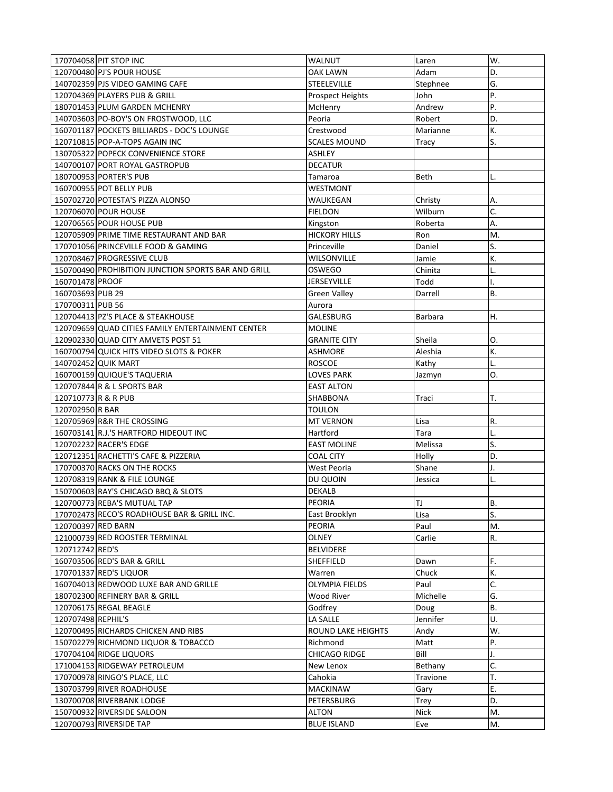| D.<br>120700480 PJ'S POUR HOUSE<br>OAK LAWN<br>Adam<br>G.<br>140702359 PJS VIDEO GAMING CAFE<br><b>STEELEVILLE</b><br>Stephnee<br>P.<br>120704369 PLAYERS PUB & GRILL<br>John<br><b>Prospect Heights</b><br>P.<br>180701453 PLUM GARDEN MCHENRY<br>Andrew<br>McHenry<br>140703603 PO-BOY'S ON FROSTWOOD, LLC<br>Peoria<br>D.<br>Robert<br>160701187 POCKETS BILLIARDS - DOC'S LOUNGE<br>К.<br>Crestwood<br>Marianne<br>120710815 POP-A-TOPS AGAIN INC<br><b>SCALES MOUND</b><br>S.<br>Tracy<br>130705322 POPECK CONVENIENCE STORE<br><b>ASHLEY</b><br>140700107 PORT ROYAL GASTROPUB<br><b>DECATUR</b><br>180700953 PORTER'S PUB<br>Tamaroa<br>L.<br>Beth<br>WESTMONT<br>160700955 POT BELLY PUB<br>Α.<br>WAUKEGAN<br>150702720 POTESTA'S PIZZA ALONSO<br>Christy<br>C.<br>120706070 POUR HOUSE<br><b>FIELDON</b><br>Wilburn<br>Α.<br>120706565 POUR HOUSE PUB<br>Kingston<br>Roberta<br>M.<br>120705909 PRIME TIME RESTAURANT AND BAR<br><b>HICKORY HILLS</b><br>Ron<br>S.<br>170701056 PRINCEVILLE FOOD & GAMING<br>Princeville<br>Daniel<br>K.<br>120708467 PROGRESSIVE CLUB<br>WILSONVILLE<br>Jamie<br>150700490 PROHIBITION JUNCTION SPORTS BAR AND GRILL<br>OSWEGO<br>Chinita<br>L.<br>160701478 PROOF<br><b>JERSEYVILLE</b><br>Todd<br>۱.<br>160703693 PUB 29<br><b>B.</b><br>Green Valley<br>Darrell<br>170700311 PUB 56<br>Aurora<br>120704413 PZ'S PLACE & STEAKHOUSE<br>Η.<br>GALESBURG<br>Barbara<br>120709659 QUAD CITIES FAMILY ENTERTAINMENT CENTER<br><b>MOLINE</b><br>120902330 QUAD CITY AMVETS POST 51<br>Sheila<br>0.<br><b>GRANITE CITY</b><br>160700794 QUICK HITS VIDEO SLOTS & POKER<br>Aleshia<br>К.<br><b>ASHMORE</b><br>140702452 QUIK MART<br><b>ROSCOE</b><br>Kathy<br>L.<br>160700159 QUIQUE'S TAQUERIA<br><b>LOVES PARK</b><br>О.<br>Jazmyn<br><b>EAST ALTON</b><br>120707844 R & L SPORTS BAR<br>T.<br>120710773 R & R PUB<br>SHABBONA<br>Traci<br>120702950 R BAR<br>TOULON<br>120705969 R&R THE CROSSING<br><b>MT VERNON</b><br>R.<br>Lisa<br>160703141 R.J.'S HARTFORD HIDEOUT INC<br>Hartford<br>Tara<br>L.<br>S.<br>120702232 RACER'S EDGE<br><b>EAST MOLINE</b><br>Melissa<br>D.<br>120712351 RACHETTI'S CAFE & PIZZERIA<br><b>COAL CITY</b><br>Holly<br>170700370 RACKS ON THE ROCKS<br>Shane<br>West Peoria<br>J.<br>120708319 RANK & FILE LOUNGE<br>DU QUOIN<br>Jessica<br>L.<br>150700603 RAY'S CHICAGO BBQ & SLOTS<br><b>DEKALB</b><br>120700773 REBA'S MUTUAL TAP<br>LT<br>В.<br>PEORIA<br>S.<br>170702473 RECO'S ROADHOUSE BAR & GRILL INC.<br>East Brooklyn<br>Lisa<br>120700397 RED BARN<br>PEORIA<br>Paul<br>M.<br>R.<br>121000739 RED ROOSTER TERMINAL<br>OLNEY<br>Carlie<br>120712742 RED'S<br><b>BELVIDERE</b><br>F.<br>160703506 RED'S BAR & GRILL<br>SHEFFIELD<br>Dawn<br>К.<br>170701337 RED'S LIQUOR<br>Warren<br>Chuck<br>C.<br>160704013 REDWOOD LUXE BAR AND GRILLE<br><b>OLYMPIA FIELDS</b><br>Paul<br>G.<br>180702300 REFINERY BAR & GRILL<br>Wood River<br>Michelle<br>В.<br>120706175 REGAL BEAGLE<br>Godfrev<br>Doug<br>U.<br>Jennifer<br>120707498 REPHIL'S<br>LA SALLE<br>120700495 RICHARDS CHICKEN AND RIBS<br>ROUND LAKE HEIGHTS<br>W.<br>Andy<br>150702279 RICHMOND LIQUOR & TOBACCO<br>Richmond<br>Ρ.<br>Matt<br>170704104 RIDGE LIQUORS<br>CHICAGO RIDGE<br>Bill<br>J.<br>C.<br>171004153 RIDGEWAY PETROLEUM<br>New Lenox<br>Bethany<br>T.<br>170700978 RINGO'S PLACE, LLC<br>Cahokia<br>Travione<br>E.<br>130703799 RIVER ROADHOUSE<br><b>MACKINAW</b><br>Gary<br>D.<br>130700708 RIVERBANK LODGE<br>PETERSBURG<br><b>Trey</b><br>150700932 RIVERSIDE SALOON<br><b>ALTON</b><br><b>Nick</b><br>M.<br>120700793 RIVERSIDE TAP<br><b>BLUE ISLAND</b><br>M.<br>Eve | 170704058 PIT STOP INC | WALNUT | Laren | W. |
|-----------------------------------------------------------------------------------------------------------------------------------------------------------------------------------------------------------------------------------------------------------------------------------------------------------------------------------------------------------------------------------------------------------------------------------------------------------------------------------------------------------------------------------------------------------------------------------------------------------------------------------------------------------------------------------------------------------------------------------------------------------------------------------------------------------------------------------------------------------------------------------------------------------------------------------------------------------------------------------------------------------------------------------------------------------------------------------------------------------------------------------------------------------------------------------------------------------------------------------------------------------------------------------------------------------------------------------------------------------------------------------------------------------------------------------------------------------------------------------------------------------------------------------------------------------------------------------------------------------------------------------------------------------------------------------------------------------------------------------------------------------------------------------------------------------------------------------------------------------------------------------------------------------------------------------------------------------------------------------------------------------------------------------------------------------------------------------------------------------------------------------------------------------------------------------------------------------------------------------------------------------------------------------------------------------------------------------------------------------------------------------------------------------------------------------------------------------------------------------------------------------------------------------------------------------------------------------------------------------------------------------------------------------------------------------------------------------------------------------------------------------------------------------------------------------------------------------------------------------------------------------------------------------------------------------------------------------------------------------------------------------------------------------------------------------------------------------------------------------------------------------------------------------------------------------------------------------------------------------------------------------------------------------------------------------------------------------------------------------------------------------------------------------------------------------------------------------------------------------------------------------------------------------------------------------------------------------------------------------------------------------------|------------------------|--------|-------|----|
|                                                                                                                                                                                                                                                                                                                                                                                                                                                                                                                                                                                                                                                                                                                                                                                                                                                                                                                                                                                                                                                                                                                                                                                                                                                                                                                                                                                                                                                                                                                                                                                                                                                                                                                                                                                                                                                                                                                                                                                                                                                                                                                                                                                                                                                                                                                                                                                                                                                                                                                                                                                                                                                                                                                                                                                                                                                                                                                                                                                                                                                                                                                                                                                                                                                                                                                                                                                                                                                                                                                                                                                                                                         |                        |        |       |    |
|                                                                                                                                                                                                                                                                                                                                                                                                                                                                                                                                                                                                                                                                                                                                                                                                                                                                                                                                                                                                                                                                                                                                                                                                                                                                                                                                                                                                                                                                                                                                                                                                                                                                                                                                                                                                                                                                                                                                                                                                                                                                                                                                                                                                                                                                                                                                                                                                                                                                                                                                                                                                                                                                                                                                                                                                                                                                                                                                                                                                                                                                                                                                                                                                                                                                                                                                                                                                                                                                                                                                                                                                                                         |                        |        |       |    |
|                                                                                                                                                                                                                                                                                                                                                                                                                                                                                                                                                                                                                                                                                                                                                                                                                                                                                                                                                                                                                                                                                                                                                                                                                                                                                                                                                                                                                                                                                                                                                                                                                                                                                                                                                                                                                                                                                                                                                                                                                                                                                                                                                                                                                                                                                                                                                                                                                                                                                                                                                                                                                                                                                                                                                                                                                                                                                                                                                                                                                                                                                                                                                                                                                                                                                                                                                                                                                                                                                                                                                                                                                                         |                        |        |       |    |
|                                                                                                                                                                                                                                                                                                                                                                                                                                                                                                                                                                                                                                                                                                                                                                                                                                                                                                                                                                                                                                                                                                                                                                                                                                                                                                                                                                                                                                                                                                                                                                                                                                                                                                                                                                                                                                                                                                                                                                                                                                                                                                                                                                                                                                                                                                                                                                                                                                                                                                                                                                                                                                                                                                                                                                                                                                                                                                                                                                                                                                                                                                                                                                                                                                                                                                                                                                                                                                                                                                                                                                                                                                         |                        |        |       |    |
|                                                                                                                                                                                                                                                                                                                                                                                                                                                                                                                                                                                                                                                                                                                                                                                                                                                                                                                                                                                                                                                                                                                                                                                                                                                                                                                                                                                                                                                                                                                                                                                                                                                                                                                                                                                                                                                                                                                                                                                                                                                                                                                                                                                                                                                                                                                                                                                                                                                                                                                                                                                                                                                                                                                                                                                                                                                                                                                                                                                                                                                                                                                                                                                                                                                                                                                                                                                                                                                                                                                                                                                                                                         |                        |        |       |    |
|                                                                                                                                                                                                                                                                                                                                                                                                                                                                                                                                                                                                                                                                                                                                                                                                                                                                                                                                                                                                                                                                                                                                                                                                                                                                                                                                                                                                                                                                                                                                                                                                                                                                                                                                                                                                                                                                                                                                                                                                                                                                                                                                                                                                                                                                                                                                                                                                                                                                                                                                                                                                                                                                                                                                                                                                                                                                                                                                                                                                                                                                                                                                                                                                                                                                                                                                                                                                                                                                                                                                                                                                                                         |                        |        |       |    |
|                                                                                                                                                                                                                                                                                                                                                                                                                                                                                                                                                                                                                                                                                                                                                                                                                                                                                                                                                                                                                                                                                                                                                                                                                                                                                                                                                                                                                                                                                                                                                                                                                                                                                                                                                                                                                                                                                                                                                                                                                                                                                                                                                                                                                                                                                                                                                                                                                                                                                                                                                                                                                                                                                                                                                                                                                                                                                                                                                                                                                                                                                                                                                                                                                                                                                                                                                                                                                                                                                                                                                                                                                                         |                        |        |       |    |
|                                                                                                                                                                                                                                                                                                                                                                                                                                                                                                                                                                                                                                                                                                                                                                                                                                                                                                                                                                                                                                                                                                                                                                                                                                                                                                                                                                                                                                                                                                                                                                                                                                                                                                                                                                                                                                                                                                                                                                                                                                                                                                                                                                                                                                                                                                                                                                                                                                                                                                                                                                                                                                                                                                                                                                                                                                                                                                                                                                                                                                                                                                                                                                                                                                                                                                                                                                                                                                                                                                                                                                                                                                         |                        |        |       |    |
|                                                                                                                                                                                                                                                                                                                                                                                                                                                                                                                                                                                                                                                                                                                                                                                                                                                                                                                                                                                                                                                                                                                                                                                                                                                                                                                                                                                                                                                                                                                                                                                                                                                                                                                                                                                                                                                                                                                                                                                                                                                                                                                                                                                                                                                                                                                                                                                                                                                                                                                                                                                                                                                                                                                                                                                                                                                                                                                                                                                                                                                                                                                                                                                                                                                                                                                                                                                                                                                                                                                                                                                                                                         |                        |        |       |    |
|                                                                                                                                                                                                                                                                                                                                                                                                                                                                                                                                                                                                                                                                                                                                                                                                                                                                                                                                                                                                                                                                                                                                                                                                                                                                                                                                                                                                                                                                                                                                                                                                                                                                                                                                                                                                                                                                                                                                                                                                                                                                                                                                                                                                                                                                                                                                                                                                                                                                                                                                                                                                                                                                                                                                                                                                                                                                                                                                                                                                                                                                                                                                                                                                                                                                                                                                                                                                                                                                                                                                                                                                                                         |                        |        |       |    |
|                                                                                                                                                                                                                                                                                                                                                                                                                                                                                                                                                                                                                                                                                                                                                                                                                                                                                                                                                                                                                                                                                                                                                                                                                                                                                                                                                                                                                                                                                                                                                                                                                                                                                                                                                                                                                                                                                                                                                                                                                                                                                                                                                                                                                                                                                                                                                                                                                                                                                                                                                                                                                                                                                                                                                                                                                                                                                                                                                                                                                                                                                                                                                                                                                                                                                                                                                                                                                                                                                                                                                                                                                                         |                        |        |       |    |
|                                                                                                                                                                                                                                                                                                                                                                                                                                                                                                                                                                                                                                                                                                                                                                                                                                                                                                                                                                                                                                                                                                                                                                                                                                                                                                                                                                                                                                                                                                                                                                                                                                                                                                                                                                                                                                                                                                                                                                                                                                                                                                                                                                                                                                                                                                                                                                                                                                                                                                                                                                                                                                                                                                                                                                                                                                                                                                                                                                                                                                                                                                                                                                                                                                                                                                                                                                                                                                                                                                                                                                                                                                         |                        |        |       |    |
|                                                                                                                                                                                                                                                                                                                                                                                                                                                                                                                                                                                                                                                                                                                                                                                                                                                                                                                                                                                                                                                                                                                                                                                                                                                                                                                                                                                                                                                                                                                                                                                                                                                                                                                                                                                                                                                                                                                                                                                                                                                                                                                                                                                                                                                                                                                                                                                                                                                                                                                                                                                                                                                                                                                                                                                                                                                                                                                                                                                                                                                                                                                                                                                                                                                                                                                                                                                                                                                                                                                                                                                                                                         |                        |        |       |    |
|                                                                                                                                                                                                                                                                                                                                                                                                                                                                                                                                                                                                                                                                                                                                                                                                                                                                                                                                                                                                                                                                                                                                                                                                                                                                                                                                                                                                                                                                                                                                                                                                                                                                                                                                                                                                                                                                                                                                                                                                                                                                                                                                                                                                                                                                                                                                                                                                                                                                                                                                                                                                                                                                                                                                                                                                                                                                                                                                                                                                                                                                                                                                                                                                                                                                                                                                                                                                                                                                                                                                                                                                                                         |                        |        |       |    |
|                                                                                                                                                                                                                                                                                                                                                                                                                                                                                                                                                                                                                                                                                                                                                                                                                                                                                                                                                                                                                                                                                                                                                                                                                                                                                                                                                                                                                                                                                                                                                                                                                                                                                                                                                                                                                                                                                                                                                                                                                                                                                                                                                                                                                                                                                                                                                                                                                                                                                                                                                                                                                                                                                                                                                                                                                                                                                                                                                                                                                                                                                                                                                                                                                                                                                                                                                                                                                                                                                                                                                                                                                                         |                        |        |       |    |
|                                                                                                                                                                                                                                                                                                                                                                                                                                                                                                                                                                                                                                                                                                                                                                                                                                                                                                                                                                                                                                                                                                                                                                                                                                                                                                                                                                                                                                                                                                                                                                                                                                                                                                                                                                                                                                                                                                                                                                                                                                                                                                                                                                                                                                                                                                                                                                                                                                                                                                                                                                                                                                                                                                                                                                                                                                                                                                                                                                                                                                                                                                                                                                                                                                                                                                                                                                                                                                                                                                                                                                                                                                         |                        |        |       |    |
|                                                                                                                                                                                                                                                                                                                                                                                                                                                                                                                                                                                                                                                                                                                                                                                                                                                                                                                                                                                                                                                                                                                                                                                                                                                                                                                                                                                                                                                                                                                                                                                                                                                                                                                                                                                                                                                                                                                                                                                                                                                                                                                                                                                                                                                                                                                                                                                                                                                                                                                                                                                                                                                                                                                                                                                                                                                                                                                                                                                                                                                                                                                                                                                                                                                                                                                                                                                                                                                                                                                                                                                                                                         |                        |        |       |    |
|                                                                                                                                                                                                                                                                                                                                                                                                                                                                                                                                                                                                                                                                                                                                                                                                                                                                                                                                                                                                                                                                                                                                                                                                                                                                                                                                                                                                                                                                                                                                                                                                                                                                                                                                                                                                                                                                                                                                                                                                                                                                                                                                                                                                                                                                                                                                                                                                                                                                                                                                                                                                                                                                                                                                                                                                                                                                                                                                                                                                                                                                                                                                                                                                                                                                                                                                                                                                                                                                                                                                                                                                                                         |                        |        |       |    |
|                                                                                                                                                                                                                                                                                                                                                                                                                                                                                                                                                                                                                                                                                                                                                                                                                                                                                                                                                                                                                                                                                                                                                                                                                                                                                                                                                                                                                                                                                                                                                                                                                                                                                                                                                                                                                                                                                                                                                                                                                                                                                                                                                                                                                                                                                                                                                                                                                                                                                                                                                                                                                                                                                                                                                                                                                                                                                                                                                                                                                                                                                                                                                                                                                                                                                                                                                                                                                                                                                                                                                                                                                                         |                        |        |       |    |
|                                                                                                                                                                                                                                                                                                                                                                                                                                                                                                                                                                                                                                                                                                                                                                                                                                                                                                                                                                                                                                                                                                                                                                                                                                                                                                                                                                                                                                                                                                                                                                                                                                                                                                                                                                                                                                                                                                                                                                                                                                                                                                                                                                                                                                                                                                                                                                                                                                                                                                                                                                                                                                                                                                                                                                                                                                                                                                                                                                                                                                                                                                                                                                                                                                                                                                                                                                                                                                                                                                                                                                                                                                         |                        |        |       |    |
|                                                                                                                                                                                                                                                                                                                                                                                                                                                                                                                                                                                                                                                                                                                                                                                                                                                                                                                                                                                                                                                                                                                                                                                                                                                                                                                                                                                                                                                                                                                                                                                                                                                                                                                                                                                                                                                                                                                                                                                                                                                                                                                                                                                                                                                                                                                                                                                                                                                                                                                                                                                                                                                                                                                                                                                                                                                                                                                                                                                                                                                                                                                                                                                                                                                                                                                                                                                                                                                                                                                                                                                                                                         |                        |        |       |    |
|                                                                                                                                                                                                                                                                                                                                                                                                                                                                                                                                                                                                                                                                                                                                                                                                                                                                                                                                                                                                                                                                                                                                                                                                                                                                                                                                                                                                                                                                                                                                                                                                                                                                                                                                                                                                                                                                                                                                                                                                                                                                                                                                                                                                                                                                                                                                                                                                                                                                                                                                                                                                                                                                                                                                                                                                                                                                                                                                                                                                                                                                                                                                                                                                                                                                                                                                                                                                                                                                                                                                                                                                                                         |                        |        |       |    |
|                                                                                                                                                                                                                                                                                                                                                                                                                                                                                                                                                                                                                                                                                                                                                                                                                                                                                                                                                                                                                                                                                                                                                                                                                                                                                                                                                                                                                                                                                                                                                                                                                                                                                                                                                                                                                                                                                                                                                                                                                                                                                                                                                                                                                                                                                                                                                                                                                                                                                                                                                                                                                                                                                                                                                                                                                                                                                                                                                                                                                                                                                                                                                                                                                                                                                                                                                                                                                                                                                                                                                                                                                                         |                        |        |       |    |
|                                                                                                                                                                                                                                                                                                                                                                                                                                                                                                                                                                                                                                                                                                                                                                                                                                                                                                                                                                                                                                                                                                                                                                                                                                                                                                                                                                                                                                                                                                                                                                                                                                                                                                                                                                                                                                                                                                                                                                                                                                                                                                                                                                                                                                                                                                                                                                                                                                                                                                                                                                                                                                                                                                                                                                                                                                                                                                                                                                                                                                                                                                                                                                                                                                                                                                                                                                                                                                                                                                                                                                                                                                         |                        |        |       |    |
|                                                                                                                                                                                                                                                                                                                                                                                                                                                                                                                                                                                                                                                                                                                                                                                                                                                                                                                                                                                                                                                                                                                                                                                                                                                                                                                                                                                                                                                                                                                                                                                                                                                                                                                                                                                                                                                                                                                                                                                                                                                                                                                                                                                                                                                                                                                                                                                                                                                                                                                                                                                                                                                                                                                                                                                                                                                                                                                                                                                                                                                                                                                                                                                                                                                                                                                                                                                                                                                                                                                                                                                                                                         |                        |        |       |    |
|                                                                                                                                                                                                                                                                                                                                                                                                                                                                                                                                                                                                                                                                                                                                                                                                                                                                                                                                                                                                                                                                                                                                                                                                                                                                                                                                                                                                                                                                                                                                                                                                                                                                                                                                                                                                                                                                                                                                                                                                                                                                                                                                                                                                                                                                                                                                                                                                                                                                                                                                                                                                                                                                                                                                                                                                                                                                                                                                                                                                                                                                                                                                                                                                                                                                                                                                                                                                                                                                                                                                                                                                                                         |                        |        |       |    |
|                                                                                                                                                                                                                                                                                                                                                                                                                                                                                                                                                                                                                                                                                                                                                                                                                                                                                                                                                                                                                                                                                                                                                                                                                                                                                                                                                                                                                                                                                                                                                                                                                                                                                                                                                                                                                                                                                                                                                                                                                                                                                                                                                                                                                                                                                                                                                                                                                                                                                                                                                                                                                                                                                                                                                                                                                                                                                                                                                                                                                                                                                                                                                                                                                                                                                                                                                                                                                                                                                                                                                                                                                                         |                        |        |       |    |
|                                                                                                                                                                                                                                                                                                                                                                                                                                                                                                                                                                                                                                                                                                                                                                                                                                                                                                                                                                                                                                                                                                                                                                                                                                                                                                                                                                                                                                                                                                                                                                                                                                                                                                                                                                                                                                                                                                                                                                                                                                                                                                                                                                                                                                                                                                                                                                                                                                                                                                                                                                                                                                                                                                                                                                                                                                                                                                                                                                                                                                                                                                                                                                                                                                                                                                                                                                                                                                                                                                                                                                                                                                         |                        |        |       |    |
|                                                                                                                                                                                                                                                                                                                                                                                                                                                                                                                                                                                                                                                                                                                                                                                                                                                                                                                                                                                                                                                                                                                                                                                                                                                                                                                                                                                                                                                                                                                                                                                                                                                                                                                                                                                                                                                                                                                                                                                                                                                                                                                                                                                                                                                                                                                                                                                                                                                                                                                                                                                                                                                                                                                                                                                                                                                                                                                                                                                                                                                                                                                                                                                                                                                                                                                                                                                                                                                                                                                                                                                                                                         |                        |        |       |    |
|                                                                                                                                                                                                                                                                                                                                                                                                                                                                                                                                                                                                                                                                                                                                                                                                                                                                                                                                                                                                                                                                                                                                                                                                                                                                                                                                                                                                                                                                                                                                                                                                                                                                                                                                                                                                                                                                                                                                                                                                                                                                                                                                                                                                                                                                                                                                                                                                                                                                                                                                                                                                                                                                                                                                                                                                                                                                                                                                                                                                                                                                                                                                                                                                                                                                                                                                                                                                                                                                                                                                                                                                                                         |                        |        |       |    |
|                                                                                                                                                                                                                                                                                                                                                                                                                                                                                                                                                                                                                                                                                                                                                                                                                                                                                                                                                                                                                                                                                                                                                                                                                                                                                                                                                                                                                                                                                                                                                                                                                                                                                                                                                                                                                                                                                                                                                                                                                                                                                                                                                                                                                                                                                                                                                                                                                                                                                                                                                                                                                                                                                                                                                                                                                                                                                                                                                                                                                                                                                                                                                                                                                                                                                                                                                                                                                                                                                                                                                                                                                                         |                        |        |       |    |
|                                                                                                                                                                                                                                                                                                                                                                                                                                                                                                                                                                                                                                                                                                                                                                                                                                                                                                                                                                                                                                                                                                                                                                                                                                                                                                                                                                                                                                                                                                                                                                                                                                                                                                                                                                                                                                                                                                                                                                                                                                                                                                                                                                                                                                                                                                                                                                                                                                                                                                                                                                                                                                                                                                                                                                                                                                                                                                                                                                                                                                                                                                                                                                                                                                                                                                                                                                                                                                                                                                                                                                                                                                         |                        |        |       |    |
|                                                                                                                                                                                                                                                                                                                                                                                                                                                                                                                                                                                                                                                                                                                                                                                                                                                                                                                                                                                                                                                                                                                                                                                                                                                                                                                                                                                                                                                                                                                                                                                                                                                                                                                                                                                                                                                                                                                                                                                                                                                                                                                                                                                                                                                                                                                                                                                                                                                                                                                                                                                                                                                                                                                                                                                                                                                                                                                                                                                                                                                                                                                                                                                                                                                                                                                                                                                                                                                                                                                                                                                                                                         |                        |        |       |    |
|                                                                                                                                                                                                                                                                                                                                                                                                                                                                                                                                                                                                                                                                                                                                                                                                                                                                                                                                                                                                                                                                                                                                                                                                                                                                                                                                                                                                                                                                                                                                                                                                                                                                                                                                                                                                                                                                                                                                                                                                                                                                                                                                                                                                                                                                                                                                                                                                                                                                                                                                                                                                                                                                                                                                                                                                                                                                                                                                                                                                                                                                                                                                                                                                                                                                                                                                                                                                                                                                                                                                                                                                                                         |                        |        |       |    |
|                                                                                                                                                                                                                                                                                                                                                                                                                                                                                                                                                                                                                                                                                                                                                                                                                                                                                                                                                                                                                                                                                                                                                                                                                                                                                                                                                                                                                                                                                                                                                                                                                                                                                                                                                                                                                                                                                                                                                                                                                                                                                                                                                                                                                                                                                                                                                                                                                                                                                                                                                                                                                                                                                                                                                                                                                                                                                                                                                                                                                                                                                                                                                                                                                                                                                                                                                                                                                                                                                                                                                                                                                                         |                        |        |       |    |
|                                                                                                                                                                                                                                                                                                                                                                                                                                                                                                                                                                                                                                                                                                                                                                                                                                                                                                                                                                                                                                                                                                                                                                                                                                                                                                                                                                                                                                                                                                                                                                                                                                                                                                                                                                                                                                                                                                                                                                                                                                                                                                                                                                                                                                                                                                                                                                                                                                                                                                                                                                                                                                                                                                                                                                                                                                                                                                                                                                                                                                                                                                                                                                                                                                                                                                                                                                                                                                                                                                                                                                                                                                         |                        |        |       |    |
|                                                                                                                                                                                                                                                                                                                                                                                                                                                                                                                                                                                                                                                                                                                                                                                                                                                                                                                                                                                                                                                                                                                                                                                                                                                                                                                                                                                                                                                                                                                                                                                                                                                                                                                                                                                                                                                                                                                                                                                                                                                                                                                                                                                                                                                                                                                                                                                                                                                                                                                                                                                                                                                                                                                                                                                                                                                                                                                                                                                                                                                                                                                                                                                                                                                                                                                                                                                                                                                                                                                                                                                                                                         |                        |        |       |    |
|                                                                                                                                                                                                                                                                                                                                                                                                                                                                                                                                                                                                                                                                                                                                                                                                                                                                                                                                                                                                                                                                                                                                                                                                                                                                                                                                                                                                                                                                                                                                                                                                                                                                                                                                                                                                                                                                                                                                                                                                                                                                                                                                                                                                                                                                                                                                                                                                                                                                                                                                                                                                                                                                                                                                                                                                                                                                                                                                                                                                                                                                                                                                                                                                                                                                                                                                                                                                                                                                                                                                                                                                                                         |                        |        |       |    |
|                                                                                                                                                                                                                                                                                                                                                                                                                                                                                                                                                                                                                                                                                                                                                                                                                                                                                                                                                                                                                                                                                                                                                                                                                                                                                                                                                                                                                                                                                                                                                                                                                                                                                                                                                                                                                                                                                                                                                                                                                                                                                                                                                                                                                                                                                                                                                                                                                                                                                                                                                                                                                                                                                                                                                                                                                                                                                                                                                                                                                                                                                                                                                                                                                                                                                                                                                                                                                                                                                                                                                                                                                                         |                        |        |       |    |
|                                                                                                                                                                                                                                                                                                                                                                                                                                                                                                                                                                                                                                                                                                                                                                                                                                                                                                                                                                                                                                                                                                                                                                                                                                                                                                                                                                                                                                                                                                                                                                                                                                                                                                                                                                                                                                                                                                                                                                                                                                                                                                                                                                                                                                                                                                                                                                                                                                                                                                                                                                                                                                                                                                                                                                                                                                                                                                                                                                                                                                                                                                                                                                                                                                                                                                                                                                                                                                                                                                                                                                                                                                         |                        |        |       |    |
|                                                                                                                                                                                                                                                                                                                                                                                                                                                                                                                                                                                                                                                                                                                                                                                                                                                                                                                                                                                                                                                                                                                                                                                                                                                                                                                                                                                                                                                                                                                                                                                                                                                                                                                                                                                                                                                                                                                                                                                                                                                                                                                                                                                                                                                                                                                                                                                                                                                                                                                                                                                                                                                                                                                                                                                                                                                                                                                                                                                                                                                                                                                                                                                                                                                                                                                                                                                                                                                                                                                                                                                                                                         |                        |        |       |    |
|                                                                                                                                                                                                                                                                                                                                                                                                                                                                                                                                                                                                                                                                                                                                                                                                                                                                                                                                                                                                                                                                                                                                                                                                                                                                                                                                                                                                                                                                                                                                                                                                                                                                                                                                                                                                                                                                                                                                                                                                                                                                                                                                                                                                                                                                                                                                                                                                                                                                                                                                                                                                                                                                                                                                                                                                                                                                                                                                                                                                                                                                                                                                                                                                                                                                                                                                                                                                                                                                                                                                                                                                                                         |                        |        |       |    |
|                                                                                                                                                                                                                                                                                                                                                                                                                                                                                                                                                                                                                                                                                                                                                                                                                                                                                                                                                                                                                                                                                                                                                                                                                                                                                                                                                                                                                                                                                                                                                                                                                                                                                                                                                                                                                                                                                                                                                                                                                                                                                                                                                                                                                                                                                                                                                                                                                                                                                                                                                                                                                                                                                                                                                                                                                                                                                                                                                                                                                                                                                                                                                                                                                                                                                                                                                                                                                                                                                                                                                                                                                                         |                        |        |       |    |
|                                                                                                                                                                                                                                                                                                                                                                                                                                                                                                                                                                                                                                                                                                                                                                                                                                                                                                                                                                                                                                                                                                                                                                                                                                                                                                                                                                                                                                                                                                                                                                                                                                                                                                                                                                                                                                                                                                                                                                                                                                                                                                                                                                                                                                                                                                                                                                                                                                                                                                                                                                                                                                                                                                                                                                                                                                                                                                                                                                                                                                                                                                                                                                                                                                                                                                                                                                                                                                                                                                                                                                                                                                         |                        |        |       |    |
|                                                                                                                                                                                                                                                                                                                                                                                                                                                                                                                                                                                                                                                                                                                                                                                                                                                                                                                                                                                                                                                                                                                                                                                                                                                                                                                                                                                                                                                                                                                                                                                                                                                                                                                                                                                                                                                                                                                                                                                                                                                                                                                                                                                                                                                                                                                                                                                                                                                                                                                                                                                                                                                                                                                                                                                                                                                                                                                                                                                                                                                                                                                                                                                                                                                                                                                                                                                                                                                                                                                                                                                                                                         |                        |        |       |    |
|                                                                                                                                                                                                                                                                                                                                                                                                                                                                                                                                                                                                                                                                                                                                                                                                                                                                                                                                                                                                                                                                                                                                                                                                                                                                                                                                                                                                                                                                                                                                                                                                                                                                                                                                                                                                                                                                                                                                                                                                                                                                                                                                                                                                                                                                                                                                                                                                                                                                                                                                                                                                                                                                                                                                                                                                                                                                                                                                                                                                                                                                                                                                                                                                                                                                                                                                                                                                                                                                                                                                                                                                                                         |                        |        |       |    |
|                                                                                                                                                                                                                                                                                                                                                                                                                                                                                                                                                                                                                                                                                                                                                                                                                                                                                                                                                                                                                                                                                                                                                                                                                                                                                                                                                                                                                                                                                                                                                                                                                                                                                                                                                                                                                                                                                                                                                                                                                                                                                                                                                                                                                                                                                                                                                                                                                                                                                                                                                                                                                                                                                                                                                                                                                                                                                                                                                                                                                                                                                                                                                                                                                                                                                                                                                                                                                                                                                                                                                                                                                                         |                        |        |       |    |
|                                                                                                                                                                                                                                                                                                                                                                                                                                                                                                                                                                                                                                                                                                                                                                                                                                                                                                                                                                                                                                                                                                                                                                                                                                                                                                                                                                                                                                                                                                                                                                                                                                                                                                                                                                                                                                                                                                                                                                                                                                                                                                                                                                                                                                                                                                                                                                                                                                                                                                                                                                                                                                                                                                                                                                                                                                                                                                                                                                                                                                                                                                                                                                                                                                                                                                                                                                                                                                                                                                                                                                                                                                         |                        |        |       |    |
|                                                                                                                                                                                                                                                                                                                                                                                                                                                                                                                                                                                                                                                                                                                                                                                                                                                                                                                                                                                                                                                                                                                                                                                                                                                                                                                                                                                                                                                                                                                                                                                                                                                                                                                                                                                                                                                                                                                                                                                                                                                                                                                                                                                                                                                                                                                                                                                                                                                                                                                                                                                                                                                                                                                                                                                                                                                                                                                                                                                                                                                                                                                                                                                                                                                                                                                                                                                                                                                                                                                                                                                                                                         |                        |        |       |    |
|                                                                                                                                                                                                                                                                                                                                                                                                                                                                                                                                                                                                                                                                                                                                                                                                                                                                                                                                                                                                                                                                                                                                                                                                                                                                                                                                                                                                                                                                                                                                                                                                                                                                                                                                                                                                                                                                                                                                                                                                                                                                                                                                                                                                                                                                                                                                                                                                                                                                                                                                                                                                                                                                                                                                                                                                                                                                                                                                                                                                                                                                                                                                                                                                                                                                                                                                                                                                                                                                                                                                                                                                                                         |                        |        |       |    |
|                                                                                                                                                                                                                                                                                                                                                                                                                                                                                                                                                                                                                                                                                                                                                                                                                                                                                                                                                                                                                                                                                                                                                                                                                                                                                                                                                                                                                                                                                                                                                                                                                                                                                                                                                                                                                                                                                                                                                                                                                                                                                                                                                                                                                                                                                                                                                                                                                                                                                                                                                                                                                                                                                                                                                                                                                                                                                                                                                                                                                                                                                                                                                                                                                                                                                                                                                                                                                                                                                                                                                                                                                                         |                        |        |       |    |
|                                                                                                                                                                                                                                                                                                                                                                                                                                                                                                                                                                                                                                                                                                                                                                                                                                                                                                                                                                                                                                                                                                                                                                                                                                                                                                                                                                                                                                                                                                                                                                                                                                                                                                                                                                                                                                                                                                                                                                                                                                                                                                                                                                                                                                                                                                                                                                                                                                                                                                                                                                                                                                                                                                                                                                                                                                                                                                                                                                                                                                                                                                                                                                                                                                                                                                                                                                                                                                                                                                                                                                                                                                         |                        |        |       |    |
|                                                                                                                                                                                                                                                                                                                                                                                                                                                                                                                                                                                                                                                                                                                                                                                                                                                                                                                                                                                                                                                                                                                                                                                                                                                                                                                                                                                                                                                                                                                                                                                                                                                                                                                                                                                                                                                                                                                                                                                                                                                                                                                                                                                                                                                                                                                                                                                                                                                                                                                                                                                                                                                                                                                                                                                                                                                                                                                                                                                                                                                                                                                                                                                                                                                                                                                                                                                                                                                                                                                                                                                                                                         |                        |        |       |    |
|                                                                                                                                                                                                                                                                                                                                                                                                                                                                                                                                                                                                                                                                                                                                                                                                                                                                                                                                                                                                                                                                                                                                                                                                                                                                                                                                                                                                                                                                                                                                                                                                                                                                                                                                                                                                                                                                                                                                                                                                                                                                                                                                                                                                                                                                                                                                                                                                                                                                                                                                                                                                                                                                                                                                                                                                                                                                                                                                                                                                                                                                                                                                                                                                                                                                                                                                                                                                                                                                                                                                                                                                                                         |                        |        |       |    |
|                                                                                                                                                                                                                                                                                                                                                                                                                                                                                                                                                                                                                                                                                                                                                                                                                                                                                                                                                                                                                                                                                                                                                                                                                                                                                                                                                                                                                                                                                                                                                                                                                                                                                                                                                                                                                                                                                                                                                                                                                                                                                                                                                                                                                                                                                                                                                                                                                                                                                                                                                                                                                                                                                                                                                                                                                                                                                                                                                                                                                                                                                                                                                                                                                                                                                                                                                                                                                                                                                                                                                                                                                                         |                        |        |       |    |
|                                                                                                                                                                                                                                                                                                                                                                                                                                                                                                                                                                                                                                                                                                                                                                                                                                                                                                                                                                                                                                                                                                                                                                                                                                                                                                                                                                                                                                                                                                                                                                                                                                                                                                                                                                                                                                                                                                                                                                                                                                                                                                                                                                                                                                                                                                                                                                                                                                                                                                                                                                                                                                                                                                                                                                                                                                                                                                                                                                                                                                                                                                                                                                                                                                                                                                                                                                                                                                                                                                                                                                                                                                         |                        |        |       |    |
|                                                                                                                                                                                                                                                                                                                                                                                                                                                                                                                                                                                                                                                                                                                                                                                                                                                                                                                                                                                                                                                                                                                                                                                                                                                                                                                                                                                                                                                                                                                                                                                                                                                                                                                                                                                                                                                                                                                                                                                                                                                                                                                                                                                                                                                                                                                                                                                                                                                                                                                                                                                                                                                                                                                                                                                                                                                                                                                                                                                                                                                                                                                                                                                                                                                                                                                                                                                                                                                                                                                                                                                                                                         |                        |        |       |    |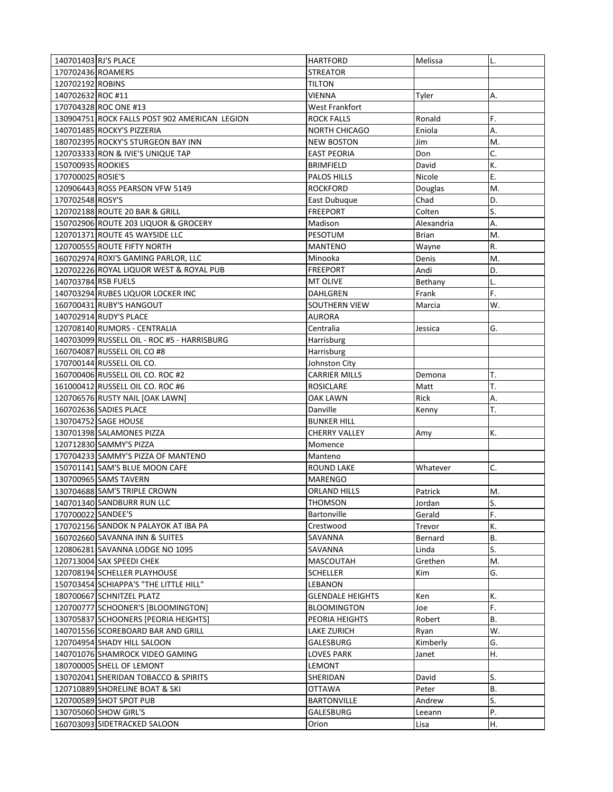| 140701403 RJ'S PLACE                                  | <b>HARTFORD</b>         | Melissa        | L.                        |
|-------------------------------------------------------|-------------------------|----------------|---------------------------|
| 170702436 ROAMERS                                     | <b>STREATOR</b>         |                |                           |
| 120702192 ROBINS                                      | <b>TILTON</b>           |                |                           |
| 140702632 ROC #11                                     | <b>VIENNA</b>           | Tyler          | А.                        |
| 170704328 ROC ONE #13                                 | West Frankfort          |                |                           |
| 130904751 ROCK FALLS POST 902 AMERICAN LEGION         | <b>ROCK FALLS</b>       | Ronald         | F.                        |
| 140701485 ROCKY'S PIZZERIA                            | <b>NORTH CHICAGO</b>    | Eniola         | А.                        |
| 180702395 ROCKY'S STURGEON BAY INN                    | <b>NEW BOSTON</b>       | Jim            | M.                        |
| 120703333 RON & IVIE'S UNIQUE TAP                     | <b>EAST PEORIA</b>      | Don            | C.                        |
| 150700935 ROOKIES                                     | <b>BRIMFIELD</b>        | David          | К.                        |
| 170700025 ROSIE'S                                     | <b>PALOS HILLS</b>      | Nicole         | Ε.                        |
| 120906443 ROSS PEARSON VFW 5149                       | <b>ROCKFORD</b>         | Douglas        | M.                        |
| 170702548 ROSY'S                                      | East Dubuque            | Chad           | D.                        |
| 120702188 ROUTE 20 BAR & GRILL                        | <b>FREEPORT</b>         | Colten         | S.                        |
| 150702906 ROUTE 203 LIQUOR & GROCERY                  | Madison                 | Alexandria     | А.                        |
| 120701371 ROUTE 45 WAYSIDE LLC                        | PESOTUM                 | Brian          | M.                        |
| 120700555 ROUTE FIFTY NORTH                           | <b>MANTENO</b>          | Wayne          | R.                        |
| 160702974 ROXI'S GAMING PARLOR, LLC                   | Minooka                 | Denis          | M.                        |
| 120702226 ROYAL LIQUOR WEST & ROYAL PUB               | <b>FREEPORT</b>         | Andi           | D.                        |
| 140703784 RSB FUELS                                   | MT OLIVE                | Bethany        | L.                        |
| 140703294 RUBES LIQUOR LOCKER INC                     | DAHLGREN                | Frank          | F.                        |
| 160700431 RUBY'S HANGOUT                              | SOUTHERN VIEW           | Marcia         | W.                        |
| 140702914 RUDY'S PLACE                                | AURORA                  |                |                           |
| 120708140 RUMORS - CENTRALIA                          | Centralia               | Jessica        | G.                        |
| 140703099 RUSSELL OIL - ROC #5 - HARRISBURG           | Harrisburg              |                |                           |
| 160704087 RUSSELL OIL CO #8                           | Harrisburg              |                |                           |
| 170700144 RUSSELL OIL CO.                             | Johnston City           |                |                           |
| 160700406 RUSSELL OIL CO. ROC #2                      | <b>CARRIER MILLS</b>    | Demona         | T.                        |
|                                                       |                         |                |                           |
|                                                       |                         |                |                           |
| 161000412 RUSSELL OIL CO. ROC #6                      | ROSICLARE               | Matt           | T.                        |
| 120706576 RUSTY NAIL [OAK LAWN]                       | OAK LAWN                | Rick           | Α.                        |
| 160702636 SADIES PLACE                                | Danville                | Kenny          | T.                        |
| 130704752 SAGE HOUSE                                  | <b>BUNKER HILL</b>      |                |                           |
| 130701398 SALAMONES PIZZA                             | CHERRY VALLEY           | Amy            | К.                        |
| 120712830 SAMMY'S PIZZA                               | Momence                 |                |                           |
| 170704233 SAMMY'S PIZZA OF MANTENO                    | Manteno                 |                |                           |
| 150701141 SAM'S BLUE MOON CAFE                        | <b>ROUND LAKE</b>       | Whatever       | C.                        |
| 130700965 SAMS TAVERN                                 | <b>MARENGO</b>          |                |                           |
| 130704688 SAM'S TRIPLE CROWN                          | <b>ORLAND HILLS</b>     | Patrick        | M.                        |
| 140701340 SANDBURR RUN LLC                            | THOMSON                 | Jordan         | $\overline{\mathsf{S}}$ . |
| 170700022 SANDEE'S                                    | <b>Bartonville</b>      | Gerald         | F.                        |
| 170702156 SANDOK N PALAYOK AT IBA PA                  | Crestwood               | Trevor         | К.                        |
| 160702660 SAVANNA INN & SUITES                        | SAVANNA                 | Bernard        | <b>B.</b>                 |
| 120806281 SAVANNA LODGE NO 1095                       | SAVANNA                 | Linda          | S.                        |
| 120713004 SAX SPEEDI CHEK                             | <b>MASCOUTAH</b>        | Grethen        | M.                        |
| 120708194 SCHELLER PLAYHOUSE                          | <b>SCHELLER</b>         | Kim            | G.                        |
| 150703454 SCHIAPPA'S "THE LITTLE HILL"                | LEBANON                 |                |                           |
| 180700667 SCHNITZEL PLATZ                             | <b>GLENDALE HEIGHTS</b> | Ken            | К.                        |
| 120700777 SCHOONER'S [BLOOMINGTON]                    | <b>BLOOMINGTON</b>      | Joe            | F.                        |
| 130705837 SCHOONERS [PEORIA HEIGHTS]                  | PEORIA HEIGHTS          | Robert         | <b>B.</b>                 |
| 140701556 SCOREBOARD BAR AND GRILL                    | LAKE ZURICH             | Ryan           | W.                        |
| 120704954 SHADY HILL SALOON                           | GALESBURG               | Kimberly       | G.                        |
| 140701076 SHAMROCK VIDEO GAMING                       | LOVES PARK              | Janet          | Η.                        |
| 180700005 SHELL OF LEMONT                             | LEMONT                  |                |                           |
| 130702041 SHERIDAN TOBACCO & SPIRITS                  | SHERIDAN                | David          | S.                        |
| 120710889 SHORELINE BOAT & SKI                        | <b>OTTAWA</b>           | Peter          | <b>B.</b>                 |
| 120700589 SHOT SPOT PUB                               | <b>BARTONVILLE</b>      | Andrew         | S.                        |
| 130705060 SHOW GIRL'S<br>160703093 SIDETRACKED SALOON | GALESBURG<br>Orion      | Leeann<br>Lisa | Ρ.<br>Η.                  |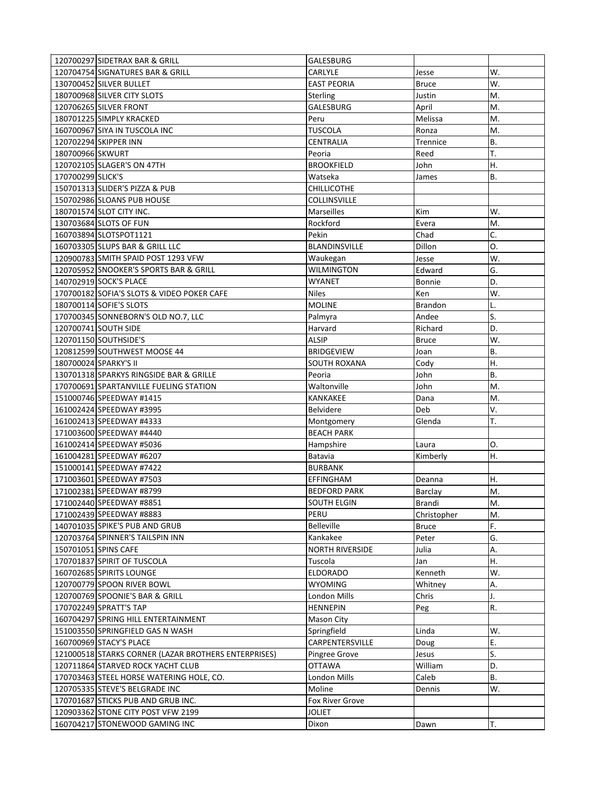|                   | 120700297 SIDETRAX BAR & GRILL                       | GALESBURG              |                  |           |
|-------------------|------------------------------------------------------|------------------------|------------------|-----------|
|                   | 120704754 SIGNATURES BAR & GRILL                     | CARLYLE                | Jesse            | W.        |
|                   | 130700452 SILVER BULLET                              | <b>EAST PEORIA</b>     | <b>Bruce</b>     | W.        |
|                   | 180700968 SILVER CITY SLOTS                          | Sterling               | Justin           | M.        |
|                   | 120706265 SILVER FRONT                               | GALESBURG              | April            | M.        |
|                   | 180701225 SIMPLY KRACKED                             | Peru                   | Melissa          | M.        |
|                   | 160700967 SIYA IN TUSCOLA INC                        | <b>TUSCOLA</b>         | Ronza            | M.        |
|                   | 120702294 SKIPPER INN                                | CENTRALIA              | Trennice         | <b>B.</b> |
| 180700966 SKWURT  |                                                      | Peoria                 | Reed             | T.        |
|                   | 120702105 SLAGER'S ON 47TH                           | <b>BROOKFIELD</b>      | John             | Η.        |
| 170700299 SLICK'S |                                                      | Watseka                | James            | <b>B.</b> |
|                   | 150701313 SLIDER'S PIZZA & PUB                       | <b>CHILLICOTHE</b>     |                  |           |
|                   | 150702986 SLOANS PUB HOUSE                           | COLLINSVILLE           |                  |           |
|                   | 180701574 SLOT CITY INC.                             | <b>Marseilles</b>      | Kim              | W.        |
|                   | 130703684 SLOTS OF FUN                               | Rockford               | Evera            | M.        |
|                   | 160703894 SLOTSPOT1121                               | Pekin                  | Chad             | C.        |
|                   | 160703305 SLUPS BAR & GRILL LLC                      | <b>BLANDINSVILLE</b>   | Dillon           | 0.        |
|                   | 120900783 SMITH SPAID POST 1293 VFW                  | Waukegan               | Jesse            | W.        |
|                   | 120705952 SNOOKER'S SPORTS BAR & GRILL               | <b>WILMINGTON</b>      | Edward           | G.        |
|                   | 140702919 SOCK'S PLACE                               | WYANET                 | Bonnie           | D.        |
|                   | 170700182 SOFIA'S SLOTS & VIDEO POKER CAFE           | <b>Niles</b>           | Ken              | W.        |
|                   | 180700114 SOFIE'S SLOTS                              | <b>MOLINE</b>          | <b>Brandon</b>   |           |
|                   | 170700345 SONNEBORN'S OLD NO.7, LLC                  | Palmyra                | Andee            | S.        |
|                   | 120700741 SOUTH SIDE                                 | Harvard                | Richard          | D.        |
|                   | 120701150 SOUTHSIDE'S                                | <b>ALSIP</b>           | <b>Bruce</b>     | W.        |
|                   | 120812599 SOUTHWEST MOOSE 44                         | <b>BRIDGEVIEW</b>      | Joan             | <b>B.</b> |
|                   | 180700024 SPARKY'S II                                | SOUTH ROXANA           | Cody             | Η.        |
|                   | 130701318 SPARKYS RINGSIDE BAR & GRILLE              | Peoria                 | John             | B.        |
|                   | 170700691 SPARTANVILLE FUELING STATION               | Waltonville            | John             | M.        |
|                   | 151000746 SPEEDWAY #1415                             | KANKAKEE               | Dana             | M.        |
|                   | 161002424 SPEEDWAY #3995                             | <b>Belvidere</b>       | Deb              | V.        |
|                   | 161002413 SPEEDWAY #4333                             | Montgomery             | Glenda           | T.        |
|                   | 171003600 SPEEDWAY #4440                             | <b>BEACH PARK</b>      |                  |           |
|                   | 161002414 SPEEDWAY #5036                             | Hampshire              | Laura            | Ο.        |
|                   | 161004281 SPEEDWAY #6207                             | Batavia                | Kimberly         | Η.        |
|                   | 151000141 SPEEDWAY #7422                             | <b>BURBANK</b>         |                  |           |
|                   | 171003601 SPEEDWAY #7503                             | <b>EFFINGHAM</b>       | Deanna           | Η.        |
|                   | 171002381 SPEEDWAY #8799                             | <b>BEDFORD PARK</b>    | Barclay          | M.        |
|                   | 171002440 SPEEDWAY #8851                             | SOUTH ELGIN            | Brandi           | M.        |
|                   | 171002439 SPEEDWAY #8883                             | PERU                   | Christopher      | M.        |
|                   | 140701035 SPIKE'S PUB AND GRUB                       | Belleville             | <b>Bruce</b>     | F.        |
|                   | 120703764 SPINNER'S TAILSPIN INN                     | Kankakee               | Peter            | G.        |
|                   | 150701051 SPINS CAFE                                 | <b>NORTH RIVERSIDE</b> | Julia            | А.        |
|                   | 170701837 SPIRIT OF TUSCOLA                          | Tuscola                | Jan              | Η.        |
|                   | 160702685 SPIRITS LOUNGE                             | ELDORADO               | Kenneth          | W.        |
|                   | 120700779 SPOON RIVER BOWL                           | <b>WYOMING</b>         | Whitney          | А.        |
|                   | 120700769 SPOONIE'S BAR & GRILL                      | London Mills           | Chris            | J.        |
|                   | 170702249 SPRATT'S TAP                               | <b>HENNEPIN</b>        |                  | R.        |
|                   | 160704297 SPRING HILL ENTERTAINMENT                  | <b>Mason City</b>      | Peg              |           |
|                   | 151003550 SPRINGFIELD GAS N WASH                     | Springfield            | Linda            | W.        |
|                   | 160700969 STACY'S PLACE                              | CARPENTERSVILLE        | Doug             | Ε.        |
|                   | 121000518 STARKS CORNER (LAZAR BROTHERS ENTERPRISES) | Pingree Grove          |                  | S.        |
|                   | 120711864 STARVED ROCK YACHT CLUB                    | <b>OTTAWA</b>          | Jesus<br>William | D.        |
|                   | 170703463 STEEL HORSE WATERING HOLE, CO.             | London Mills           | Caleb            | <b>B.</b> |
|                   | 120705335 STEVE'S BELGRADE INC                       | Moline                 |                  | W.        |
|                   | 170701687 STICKS PUB AND GRUB INC.                   | Fox River Grove        | Dennis           |           |
|                   | 120903362 STONE CITY POST VFW 2199                   | <b>JOLIET</b>          |                  |           |
|                   | 160704217 STONEWOOD GAMING INC                       | Dixon                  |                  | T.        |
|                   |                                                      |                        | Dawn             |           |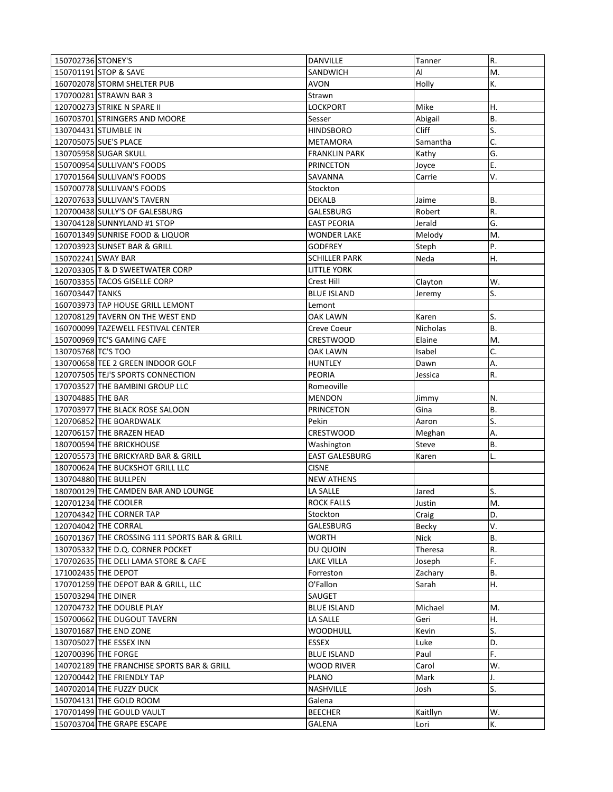| 150702736 STONEY'S                            | DANVILLE                         | Tanner          | R.        |
|-----------------------------------------------|----------------------------------|-----------------|-----------|
| 150701191 STOP & SAVE                         | <b>SANDWICH</b>                  | Al              | M.        |
| 160702078 STORM SHELTER PUB                   | AVON                             | Holly           | К.        |
| 170700281 STRAWN BAR 3                        | Strawn                           |                 |           |
| 120700273 STRIKE N SPARE II                   | <b>LOCKPORT</b>                  | Mike            | Η.        |
| 160703701 STRINGERS AND MOORE                 | Sesser                           | Abigail         | <b>B.</b> |
| 130704431 STUMBLE IN                          | <b>HINDSBORO</b>                 | <b>Cliff</b>    | S.        |
| 120705075 SUE'S PLACE                         | METAMORA                         | Samantha        | C.        |
| 130705958 SUGAR SKULL                         | <b>FRANKLIN PARK</b>             | Kathy           | G.        |
| 150700954 SULLIVAN'S FOODS                    | <b>PRINCETON</b>                 | Joyce           | Ε.        |
| 170701564 SULLIVAN'S FOODS                    | SAVANNA                          | Carrie          | V.        |
| 150700778 SULLIVAN'S FOODS                    | Stockton                         |                 |           |
| 120707633 SULLIVAN'S TAVERN                   | <b>DEKALB</b>                    | Jaime           | <b>B.</b> |
| 120700438 SULLY'S OF GALESBURG                | GALESBURG                        | Robert          | R.        |
| 130704128 SUNNYLAND #1 STOP                   | <b>EAST PEORIA</b>               | Jerald          | G.        |
| 160701349 SUNRISE FOOD & LIQUOR               | WONDER LAKE                      | Melody          | M.        |
| 120703923 SUNSET BAR & GRILL                  | GODFREY                          | Steph           | P.        |
| 150702241 SWAY BAR                            | <b>SCHILLER PARK</b>             | Neda            | Η.        |
| 120703305 T & D SWEETWATER CORP               | LITTLE YORK                      |                 |           |
| 160703355 TACOS GISELLE CORP                  |                                  |                 | W.        |
| 160703447 TANKS                               | Crest Hill<br><b>BLUE ISLAND</b> | Clayton         | S.        |
|                                               |                                  | Jeremy          |           |
| 160703973 TAP HOUSE GRILL LEMONT              | Lemont                           |                 |           |
| 120708129 TAVERN ON THE WEST END              | OAK LAWN                         | Karen           | S.        |
| 160700099 TAZEWELL FESTIVAL CENTER            | Creve Coeur                      | <b>Nicholas</b> | <b>B.</b> |
| 150700969 TC'S GAMING CAFE                    | <b>CRESTWOOD</b>                 | Elaine          | M.        |
| 130705768 TC'S TOO                            | OAK LAWN                         | Isabel          | C.        |
| 130700658 TEE 2 GREEN INDOOR GOLF             | <b>HUNTLEY</b>                   | Dawn            | А.        |
| 120707505 TEJ'S SPORTS CONNECTION             | <b>PEORIA</b>                    | Jessica         | R.        |
| 170703527 THE BAMBINI GROUP LLC               | Romeoville                       |                 |           |
| 130704885 THE BAR                             | <b>MENDON</b>                    | Jimmy           | N.        |
| 170703977 THE BLACK ROSE SALOON               | <b>PRINCETON</b>                 | Gina            | B.        |
| 120706852 THE BOARDWALK                       | Pekin                            | Aaron           | S.        |
| 120706157 THE BRAZEN HEAD                     | <b>CRESTWOOD</b>                 | Meghan          | Α.        |
| 180700594 THE BRICKHOUSE                      | Washington                       | Steve           | В.        |
| 120705573 THE BRICKYARD BAR & GRILL           | <b>EAST GALESBURG</b>            | Karen           | L.        |
| 180700624 THE BUCKSHOT GRILL LLC              | <b>CISNE</b>                     |                 |           |
| 130704880 THE BULLPEN                         | <b>NEW ATHENS</b>                |                 |           |
| 180700129 THE CAMDEN BAR AND LOUNGE           | LA SALLE                         | Jared           | S.        |
| 120701234 THE COOLER                          | <b>ROCK FALLS</b>                | Justin          | M.        |
| 120704342 THE CORNER TAP                      | Stockton                         | Craig           | D.        |
| 120704042 THE CORRAL                          | GALESBURG                        | Becky           | V.        |
| 160701367 THE CROSSING 111 SPORTS BAR & GRILL | <b>WORTH</b>                     | <b>Nick</b>     | <b>B.</b> |
| 130705332 THE D.Q. CORNER POCKET              | DU QUOIN                         | Theresa         | R.        |
| 170702635 THE DELI LAMA STORE & CAFE          | <b>LAKE VILLA</b>                | Joseph          | F.        |
| 171002435 THE DEPOT                           | Forreston                        | Zachary         | В.        |
| 170701259 THE DEPOT BAR & GRILL, LLC          | O'Fallon                         | Sarah           | Η.        |
| 150703294 THE DINER                           | SAUGET                           |                 |           |
| 120704732 THE DOUBLE PLAY                     | <b>BLUE ISLAND</b>               | Michael         | M.        |
| 150700662 THE DUGOUT TAVERN                   | LA SALLE                         | Geri            | Η.        |
| 130701687 THE END ZONE                        | <b>WOODHULL</b>                  | Kevin           | S.        |
| 130705027 THE ESSEX INN                       | ESSEX                            | Luke            | D.        |
| 120700396 THE FORGE                           | <b>BLUE ISLAND</b>               | Paul            | F.        |
| 140702189 THE FRANCHISE SPORTS BAR & GRILL    | WOOD RIVER                       | Carol           | W.        |
| 120700442 THE FRIENDLY TAP                    | PLANO                            | Mark            | J.        |
| 140702014 THE FUZZY DUCK                      | NASHVILLE                        |                 | S.        |
| 150704131 THE GOLD ROOM                       | Galena                           | Josh            |           |
|                                               |                                  |                 |           |
| 170701499 THE GOULD VAULT                     | <b>BEECHER</b>                   | Kaitllyn        | W.        |
| 150703704 THE GRAPE ESCAPE                    | GALENA                           | Lori            | К.        |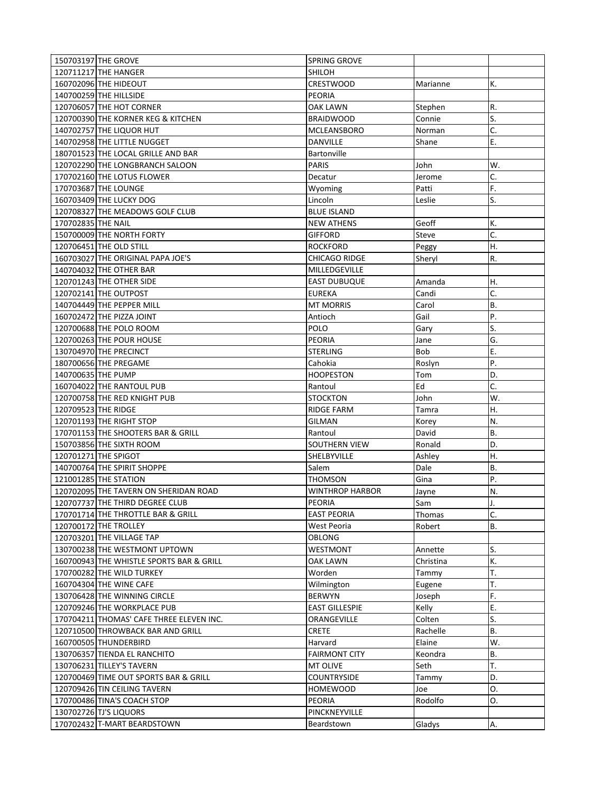| 150703197 THE GROVE                                                       | <b>SPRING GROVE</b>                    |                      |           |
|---------------------------------------------------------------------------|----------------------------------------|----------------------|-----------|
| 120711217 THE HANGER                                                      | <b>SHILOH</b>                          |                      |           |
| 160702096 THE HIDEOUT                                                     | CRESTWOOD                              | Marianne             | К.        |
| 140700259 THE HILLSIDE                                                    | PEORIA                                 |                      |           |
| 120706057 THE HOT CORNER                                                  | OAK LAWN                               | Stephen              | R.        |
| 120700390 THE KORNER KEG & KITCHEN                                        | <b>BRAIDWOOD</b>                       | Connie               | S.        |
| 140702757 THE LIQUOR HUT                                                  | MCLEANSBORO                            | Norman               | C.        |
| 140702958 THE LITTLE NUGGET                                               | DANVILLE                               | Shane                | Ε.        |
| 180701523 THE LOCAL GRILLE AND BAR                                        | <b>Bartonville</b>                     |                      |           |
| 120702290 THE LONGBRANCH SALOON                                           | <b>PARIS</b>                           | John                 | W.        |
| 170702160 THE LOTUS FLOWER                                                | Decatur                                | Jerome               | C.        |
| 170703687 THE LOUNGE                                                      | Wyoming                                | Patti                | F.        |
| 160703409 THE LUCKY DOG                                                   | Lincoln                                | Leslie               | S.        |
| 120708327 THE MEADOWS GOLF CLUB                                           | <b>BLUE ISLAND</b>                     |                      |           |
| 170702835 THE NAIL                                                        | <b>NEW ATHENS</b>                      | Geoff                | К.        |
| 150700009 THE NORTH FORTY                                                 | <b>GIFFORD</b>                         | Steve                | C.        |
| 120706451 THE OLD STILL                                                   | <b>ROCKFORD</b>                        | Peggy                | Η.        |
| 160703027 THE ORIGINAL PAPA JOE'S                                         | <b>CHICAGO RIDGE</b>                   | Sheryl               | R.        |
| 140704032 THE OTHER BAR                                                   | MILLEDGEVILLE                          |                      |           |
| 120701243 THE OTHER SIDE                                                  | <b>EAST DUBUQUE</b>                    | Amanda               | Η.        |
| 120702141 THE OUTPOST                                                     | <b>EUREKA</b>                          | Candi                | C.        |
| 140704449 THE PEPPER MILL                                                 | <b>MT MORRIS</b>                       | Carol                | <b>B.</b> |
| 160702472 THE PIZZA JOINT                                                 | Antioch                                | Gail                 | P.        |
| 120700688 THE POLO ROOM                                                   | POLO                                   | Gary                 | S.        |
| 120700263 THE POUR HOUSE                                                  | <b>PEORIA</b>                          | Jane                 | G.        |
| 130704970 THE PRECINCT                                                    | <b>STERLING</b>                        | <b>Bob</b>           | Ε.        |
| 180700656 THE PREGAME                                                     | Cahokia                                | Roslyn               | P.        |
| 140700635 THE PUMP                                                        | <b>HOOPESTON</b>                       | Tom                  | D.        |
| 160704022 THE RANTOUL PUB                                                 | Rantoul                                | Ed                   | C.        |
| 120700758 THE RED KNIGHT PUB                                              | <b>STOCKTON</b>                        | John                 | W.        |
|                                                                           |                                        |                      |           |
|                                                                           |                                        |                      |           |
| 120709523 THE RIDGE                                                       | RIDGE FARM                             | Tamra                | Η.        |
| 120701193 THE RIGHT STOP                                                  | GILMAN                                 | Korey                | N.        |
| 170701153 THE SHOOTERS BAR & GRILL                                        | Rantoul<br><b>SOUTHERN VIEW</b>        | David                | Β.<br>D.  |
| 150703856 THE SIXTH ROOM                                                  |                                        | Ronald               | Η.        |
| 120701271 THE SPIGOT                                                      | SHELBYVILLE                            | Ashley               |           |
| 140700764 THE SPIRIT SHOPPE                                               | Salem                                  | Dale                 | <b>B.</b> |
| 121001285 THE STATION                                                     | THOMSON<br><b>WINTHROP HARBOR</b>      | Gina                 | Ρ.<br>N.  |
| 120702095 THE TAVERN ON SHERIDAN ROAD                                     |                                        | Jayne                |           |
| 120707737 THE THIRD DEGREE CLUB                                           | PEORIA                                 | Sam                  | IJ.       |
| 170701714 THE THROTTLE BAR & GRILL                                        | <b>EAST PEORIA</b>                     | Thomas               | C.        |
| 120700172 THE TROLLEY                                                     | West Peoria                            | Robert               | В.        |
| 120703201 THE VILLAGE TAP                                                 | OBLONG                                 |                      |           |
| 130700238 THE WESTMONT UPTOWN<br>160700943 THE WHISTLE SPORTS BAR & GRILL | WESTMONT<br>OAK LAWN                   | Annette<br>Christina | S.<br>К.  |
|                                                                           |                                        |                      | T.        |
| 170700282 THE WILD TURKEY                                                 | Worden                                 | Tammy                |           |
| 160704304 THE WINE CAFE                                                   | Wilmington                             | Eugene               | T.        |
| 130706428 THE WINNING CIRCLE<br>120709246 THE WORKPLACE PUB               | <b>BERWYN</b><br><b>EAST GILLESPIE</b> | Joseph<br>Kelly      | F.<br>E.  |
| 170704211 THOMAS' CAFE THREE ELEVEN INC.                                  | ORANGEVILLE                            | Colten               | S.        |
| 120710500 THROWBACK BAR AND GRILL                                         | <b>CRETE</b>                           |                      | <b>B.</b> |
|                                                                           | Harvard                                | Rachelle             | W.        |
| 160700505 THUNDERBIRD                                                     | <b>FAIRMONT CITY</b>                   | Elaine               | В.        |
| 130706357 TIENDA EL RANCHITO<br>130706231 TILLEY'S TAVERN                 | MT OLIVE                               | Keondra              | T.        |
| 120700469 TIME OUT SPORTS BAR & GRILL                                     | <b>COUNTRYSIDE</b>                     | Seth                 | D.        |
| 120709426 TIN CEILING TAVERN                                              | <b>HOMEWOOD</b>                        | Tammy<br>Joe         | 0.        |
| 170700486 TINA'S COACH STOP                                               | PEORIA                                 | Rodolfo              | 0.        |
| 130702726 TJ'S LIQUORS                                                    | PINCKNEYVILLE                          |                      |           |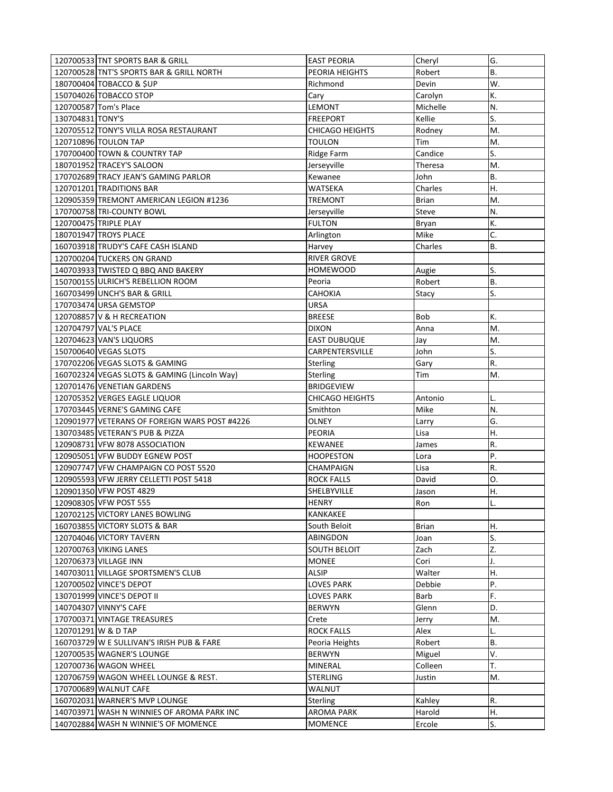| 120700533 TNT SPORTS BAR & GRILL                                                   | <b>EAST PEORIA</b>                  | Cheryl           | G.        |
|------------------------------------------------------------------------------------|-------------------------------------|------------------|-----------|
| 120700528 TNT'S SPORTS BAR & GRILL NORTH                                           | <b>PEORIA HEIGHTS</b>               | Robert           | Β.        |
| 180700404 TOBACCO & \$UP                                                           | Richmond                            | Devin            | W.        |
| 150704026 TOBACCO STOP                                                             | Cary                                | Carolyn          | K.        |
| 120700587 Tom's Place                                                              | LEMONT                              | Michelle         | N.        |
| 130704831 TONY'S                                                                   | <b>FREEPORT</b>                     | Kellie           | S.        |
| 120705512 TONY'S VILLA ROSA RESTAURANT                                             | <b>CHICAGO HEIGHTS</b>              | Rodney           | M.        |
| 120710896 TOULON TAP                                                               | <b>TOULON</b>                       | Tim              | M.        |
| 170700400 TOWN & COUNTRY TAP                                                       | Ridge Farm                          | Candice          | S.        |
| 180701952 TRACEY'S SALOON                                                          | Jerseyville                         | Theresa          | M.        |
| 170702689 TRACY JEAN'S GAMING PARLOR                                               | Kewanee                             | John             | <b>B.</b> |
| 120701201 TRADITIONS BAR                                                           | WATSEKA                             | Charles          | Η.        |
| 120905359 TREMONT AMERICAN LEGION #1236                                            | TREMONT                             | <b>Brian</b>     | M.        |
| 170700758 TRI-COUNTY BOWL                                                          | Jerseyville                         | Steve            | N.        |
| 120700475 TRIPLE PLAY                                                              | <b>FULTON</b>                       | Bryan            | К.        |
| 180701947 TROYS PLACE                                                              | Arlington                           | Mike             | C.        |
| 160703918 TRUDY'S CAFE CASH ISLAND                                                 | Harvey                              | Charles          | <b>B.</b> |
| 120700204 TUCKERS ON GRAND                                                         | <b>RIVER GROVE</b>                  |                  |           |
| 140703933 TWISTED Q BBQ AND BAKERY                                                 | <b>HOMEWOOD</b>                     | Augie            | S.        |
| 150700155 ULRICH'S REBELLION ROOM                                                  | Peoria                              | Robert           | B.        |
| 160703499 UNCH'S BAR & GRILL                                                       | CAHOKIA                             | Stacy            | S.        |
| 170703474 URSA GEMSTOP                                                             | <b>URSA</b>                         |                  |           |
| 120708857 V & H RECREATION                                                         | <b>BREESE</b>                       | Bob              | К.        |
| 120704797 VAL'S PLACE                                                              | <b>DIXON</b>                        | Anna             | M.        |
| 120704623 VAN'S LIQUORS                                                            | <b>EAST DUBUQUE</b>                 | Jay              | M.        |
| 150700640 VEGAS SLOTS                                                              | CARPENTERSVILLE                     | John             | S.        |
| 170702206 VEGAS SLOTS & GAMING                                                     | Sterling                            | Gary             | R.        |
| 160702324 VEGAS SLOTS & GAMING (Lincoln Way)                                       | Sterling                            | Tim              | M.        |
| 120701476 VENETIAN GARDENS                                                         | <b>BRIDGEVIEW</b>                   |                  |           |
|                                                                                    |                                     |                  |           |
|                                                                                    |                                     |                  |           |
| 120705352 VERGES EAGLE LIQUOR                                                      | CHICAGO HEIGHTS                     | Antonio          | L.        |
| 170703445 VERNE'S GAMING CAFE                                                      | Smithton                            | Mike             | N.        |
| 120901977 VETERANS OF FOREIGN WARS POST #4226                                      | OLNEY                               | Larry            | G.        |
| 130703485 VETERAN'S PUB & PIZZA                                                    | PEORIA                              | Lisa             | Η.        |
| 120908731 VFW 8078 ASSOCIATION                                                     | <b>KEWANEE</b>                      | James            | R.        |
| 120905051 VFW BUDDY EGNEW POST                                                     | <b>HOOPESTON</b>                    | Lora             | P.        |
| 120907747 VFW CHAMPAIGN CO POST 5520                                               | CHAMPAIGN                           | Lisa             | R.        |
| 120905593 VFW JERRY CELLETTI POST 5418                                             | <b>ROCK FALLS</b>                   | David            | O.        |
| 120901350 VFW POST 4829                                                            | SHELBYVILLE                         | Jason            | Η.        |
| 120908305 VFW POST 555                                                             | <b>HENRY</b>                        | Ron              | L.        |
| 120702125 VICTORY LANES BOWLING                                                    | KANKAKEE                            |                  |           |
| 160703855 VICTORY SLOTS & BAR                                                      | South Beloit                        | <b>Brian</b>     | Η.        |
| 120704046 VICTORY TAVERN                                                           | ABINGDON                            | Joan             | S.        |
| 120700763 VIKING LANES                                                             | <b>SOUTH BELOIT</b>                 | Zach             | Z.        |
| 120706373 VILLAGE INN                                                              | <b>MONEE</b>                        | Cori             | J.        |
| 140703011 VILLAGE SPORTSMEN'S CLUB                                                 | ALSIP                               | Walter           | Η.        |
| 120700502 VINCE'S DEPOT                                                            | <b>LOVES PARK</b>                   | Debbie           | P.        |
| 130701999 VINCE'S DEPOT II                                                         | LOVES PARK                          | Barb             | F.        |
| 140704307 VINNY'S CAFE                                                             | <b>BERWYN</b>                       | Glenn            | D.        |
| 170700371 VINTAGE TREASURES                                                        | Crete                               | Jerry            | M.        |
| 120701291 W & D TAP                                                                | <b>ROCK FALLS</b>                   | Alex             | L.        |
| 160703729 W E SULLIVAN'S IRISH PUB & FARE                                          | Peoria Heights                      | Robert           | <b>B.</b> |
| 120700535 WAGNER'S LOUNGE                                                          | <b>BERWYN</b>                       | Miguel           | V.        |
| 120700736 WAGON WHEEL                                                              | MINERAL                             | Colleen          | T.        |
| 120706759 WAGON WHEEL LOUNGE & REST.                                               | <b>STERLING</b>                     | Justin           | M.        |
| 170700689 WALNUT CAFE                                                              | WALNUT                              |                  |           |
| 160702031 WARNER'S MVP LOUNGE                                                      | <b>Sterling</b>                     | Kahley           | R.        |
| 140703971 WASH N WINNIES OF AROMA PARK INC<br>140702884 WASH N WINNIE'S OF MOMENCE | <b>AROMA PARK</b><br><b>MOMENCE</b> | Harold<br>Ercole | Η.<br>S.  |